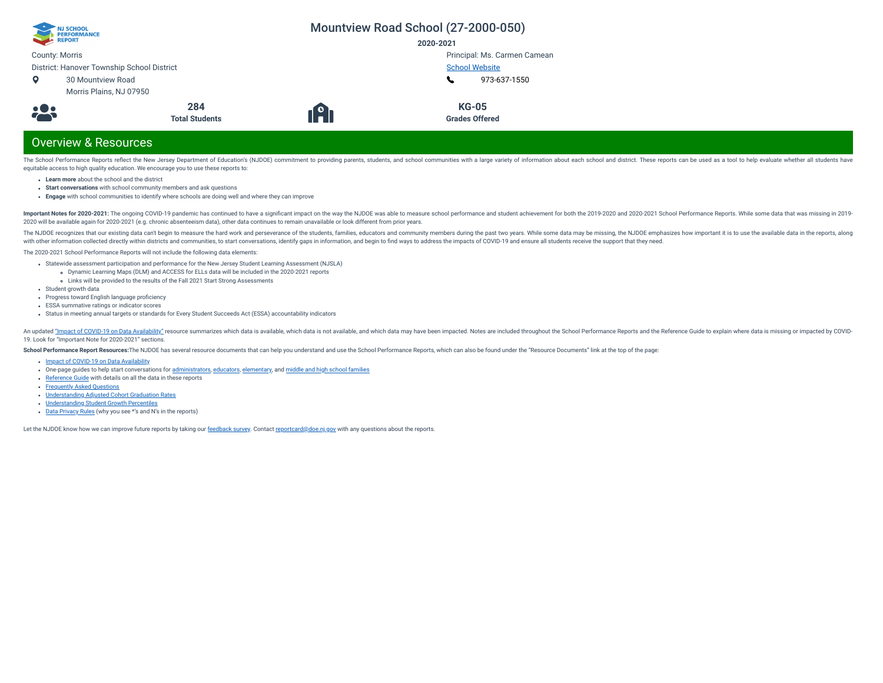| NJ SCHOOL<br>PERFORMANCE<br>REPORT         |                       |                                               | Mountview Road School (27-2000-050) |  |
|--------------------------------------------|-----------------------|-----------------------------------------------|-------------------------------------|--|
|                                            |                       | 2020-2021                                     |                                     |  |
| <b>County: Morris</b>                      |                       |                                               | Principal: Ms. Carmen Camean        |  |
| District: Hanover Township School District |                       |                                               | <b>School Website</b>               |  |
| o<br>30 Mountview Road                     |                       |                                               | 973-637-1550                        |  |
| Morris Plains, NJ 07950                    |                       |                                               |                                     |  |
|                                            | 284                   |                                               | <b>KG-05</b>                        |  |
| 28                                         | <b>Total Students</b> | $\lceil \frac{\mathsf{e}}{\mathsf{h}} \rceil$ | <b>Grades Offered</b>               |  |
| <b>Overview &amp; Resources</b>            |                       |                                               |                                     |  |

## equitable access to high quality education. We encourage you to use these reports to:

- **Learn more** about the school and the district
- **Start conversations** with school community members and ask questions
- **Engage** with school communities to identify where schools are doing well and where they can improve

Important Notes for 2020-2021: The ongoing COVID-19 pandemic has continued to have a significant impact on the way the NJDOE was able to measure school performance and student achievement for both the 2019-2020 and 2020-20 2020 will be available again for 2020-2021 (e.g. chronic absenteeism data), other data continues to remain unavailable or look different from prior years.

The School Performance Reports reflect the New Jersey Department of Education's (NJDOE) commitment to providing parents, students, and school communities with a large variety of information about each school and district.

The NJDOE recognizes that our existing data can't begin to measure the hard work and perseverance of the students, families, educators and community members during the past two years. While some data may be missing, the NJ with other information collected directly within districts and communities, to start conversations, identify gaps in information, and begin to find ways to address the impacts of COVID-19 and ensure all students receive th

The 2020-2021 School Performance Reports will not include the following data elements:

- Statewide assessment participation and performance for the New Jersey Student Learning Assessment (NJSLA)
	- Dynamic Learning Maps (DLM) and ACCESS for ELLs data will be included in the 2020-2021 reports
- Links will be provided to the results of the Fall 2021 Start Strong Assessments
- Student growth data
- Progress toward English language proficiency
- ESSA summative ratings or indicator scores
- Status in meeting annual targets or standards for Every Student Succeeds Act (ESSA) accountability indicators

An updated "Impact of [COVID-19 on](https://www.nj.gov/education/schoolperformance/resources/docs/2020-21_SchoolPerformanceReports_ImpactOf_COVID-19_on_DataAvailability.pdf) Data Availability" resource summarizes which data is available, which data is available, which data is not available, and which data is may have been impacted. Notes are included throughou 19. Look for "Important Note for 2020-2021" sections.

School Performance Report Resources: The NJDOE has several resource documents that can help you understand and use the School Performance Reports, which can also be found under the "Resource Documents" link at the top of t

- Impact of [COVID-19 on](https://www.nj.gov/education/schoolperformance/resources/docs/2020-21_SchoolPerformanceReports_ImpactOf_COVID-19_on_DataAvailability.pdf) Data Availability
- one-page guides to help start conversations for [administrators,](https://www.nj.gov/education/schoolperformance/resources/docs/2020-21_SchoolPerformanceReports_GuideForAdministrators.pdf) [educators](https://www.nj.gov/education/schoolperformance/resources/docs/2020-21_SchoolPerformanceReports_GuideForEducators.pdf), [elementary,](https://www.nj.gov/education/schoolperformance/resources/docs/2020-21_SchoolPerformanceReports_GuideForElementaryFamilies.pdf) and middle and high school [families](https://www.nj.gov/education/schoolperformance/resources/docs/2020-21_SchoolPerformanceReports_GuideForMiddle_and_HighSchoolFamilies.pdf)
- [Reference](https://navilp7rg08njprsharedst.blob.core.windows.net/perf-reports-ct/Documents/2021/ReferenceGuide.pdf) Guide with details on all the data in these reports
- **[Frequently](https://navilp7rg08njprsharedst.blob.core.windows.net/perf-reports-ct/Documents/2021/FAQs.pdf) Asked Questions**
- [Understanding](https://www.nj.gov/education/schoolperformance/grad/docs/Understanding%20Adjusted%20Cohort%20Graduation%20Rates.pdf) Adjusted Cohort Graduation Rates
- [Understanding](https://www.nj.gov/education/schoolperformance/growth/Understanding%20Median%20Student%20Growth%20Percentiles.pdf) Student Growth Percentiles
- Data [Privacy](https://navilp7rg08njprsharedst.blob.core.windows.net/perf-reports-ct/Documents/2021//DataPrivacyRules.pdf) Rules (why you see \*'s and N's in the reports)

Let the NJDOE know how we can improve future reports by taking our [feedback](https://www.surveymonkey.com/r/2020-21SPR) survey. Contact [reportcard@doe.nj.gov](mailto:reportcard@doe.nj.gov) with any questions about the reports.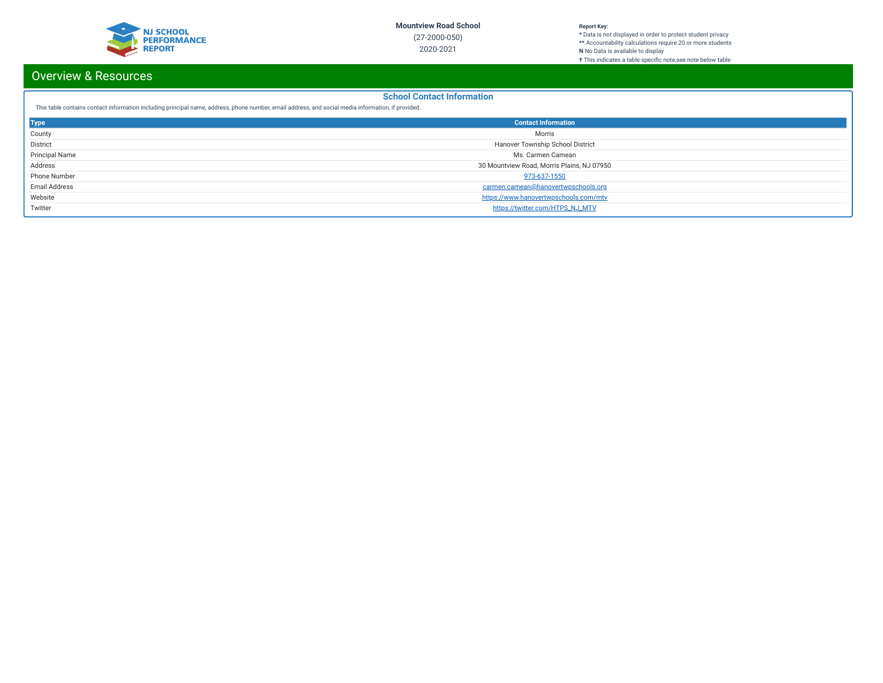

#### **Report Key:**

**\*** Data is not displayed in order to protect student privacy **\*\*** Accountability calculations require 20 or more students **N** No Data is available to display **†** This indicates a table specic note,see note below table

# Overview & Resources

## **School Contact Information**

This table contains contact information including principal name, address, phone number, email address, and social media information, if provided.

| <b>Type</b>           | <b>Contact Information</b>                 |
|-----------------------|--------------------------------------------|
| County                | Morris                                     |
| District              | Hanover Township School District           |
| <b>Principal Name</b> | Ms. Carmen Camean                          |
| Address               | 30 Mountview Road, Morris Plains, NJ 07950 |
| Phone Number          | 973-637-1550                               |
| <b>Email Address</b>  | carmen.camean@hanovertwpschools.org        |
| Website               | https://www.hanovertwpschools.com/mtv      |
| Twitter               | https://twitter.com/HTPS_NJ_MTV            |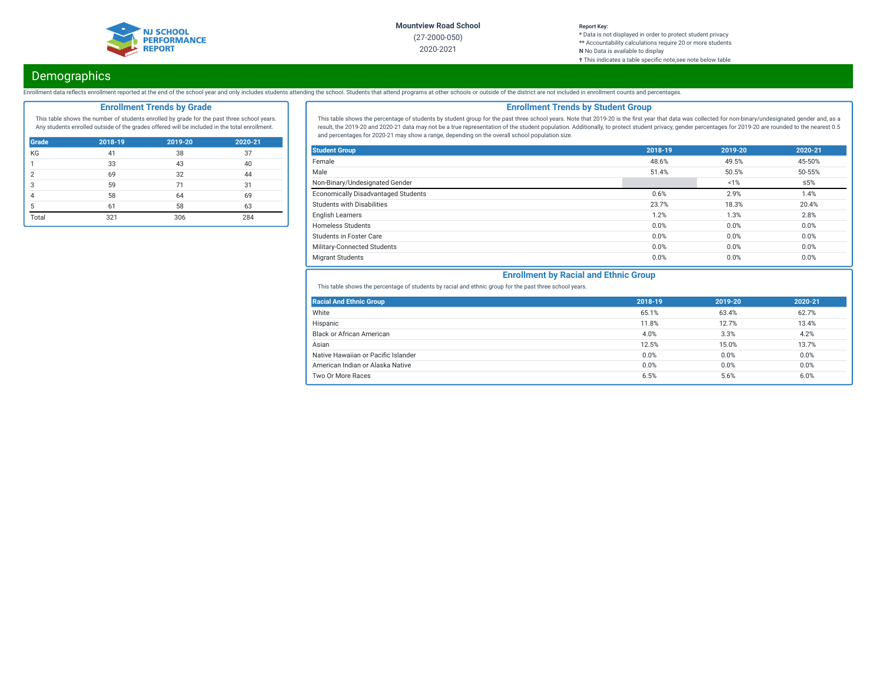

#### **Report Key: \*** Data is not displayed in order to protect student privacy **\*\*** Accountability calculations require 20 or more students **N** No Data is available to display **†** This indicates a table specific note, see note below table

# **Demographics**

Enrollment data reflects enrollment reported at the end of the school year and only includes students attending the school. Students that attend programs at other schools or outside of the district are not included in enro

## **Enrollment Trends by Grade**

This table shows the number of students enrolled by grade for the past three school years. Any students enrolled outside of the grades offered will be included in the total enrollment.

| <b>Grade</b>  | 2018-19 | 2019-20 | 2020-21 |
|---------------|---------|---------|---------|
| KG            | 41      | 38      | 37      |
|               | 33      | 43      | 40      |
| $\mathcal{P}$ | 69      | 32      | 44      |
| 3             | 59      | 71      | 31      |
|               | 58      | 64      | 69      |
| 5             | 61      | 58      | 63      |
| Total         | 321     | 306     | 284     |

## **Enrollment Trends by Student Group**

This table shows the percentage of students by student group for the past three school years. Note that 2019-20 is the first year that data was collected for non-binary/undesignated gender and, as a result, the 2019-20 and 2020-21 data may not be a true representation of the student population. Additionally, to protect student privacy, gender percentages for 2019-20 are rounded to the nearest 0.5 and percentages for 2020-21 may show a range, depending on the overall school population size.

| <b>Student Group</b>                | 2018-19 | 2019-20 | 2020-21    |
|-------------------------------------|---------|---------|------------|
| Female                              | 48.6%   | 49.5%   | 45-50%     |
| Male                                | 51.4%   | 50.5%   | 50-55%     |
| Non-Binary/Undesignated Gender      |         | 1%      | $\leq 5\%$ |
| Economically Disadvantaged Students | 0.6%    | 2.9%    | 1.4%       |
| Students with Disabilities          | 23.7%   | 18.3%   | 20.4%      |
| <b>English Learners</b>             | 1.2%    | 1.3%    | 2.8%       |
| <b>Homeless Students</b>            | 0.0%    | 0.0%    | 0.0%       |
| <b>Students in Foster Care</b>      | 0.0%    | 0.0%    | 0.0%       |
| Military-Connected Students         | 0.0%    | 0.0%    | 0.0%       |
| <b>Migrant Students</b>             | 0.0%    | 0.0%    | 0.0%       |

## **Enrollment by Racial and Ethnic Group**

This table shows the percentage of students by racial and ethnic group for the past three school years.

| <b>Racial And Ethnic Group</b>      | 2018-19 | 2019-20 | 2020-21 |
|-------------------------------------|---------|---------|---------|
| White                               | 65.1%   | 63.4%   | 62.7%   |
| Hispanic                            | 11.8%   | 12.7%   | 13.4%   |
| <b>Black or African American</b>    | 4.0%    | 3.3%    | 4.2%    |
| Asian                               | 12.5%   | 15.0%   | 13.7%   |
| Native Hawaiian or Pacific Islander | 0.0%    | 0.0%    | 0.0%    |
| American Indian or Alaska Native    | 0.0%    | 0.0%    | 0.0%    |
| Two Or More Races                   | 6.5%    | 5.6%    | 6.0%    |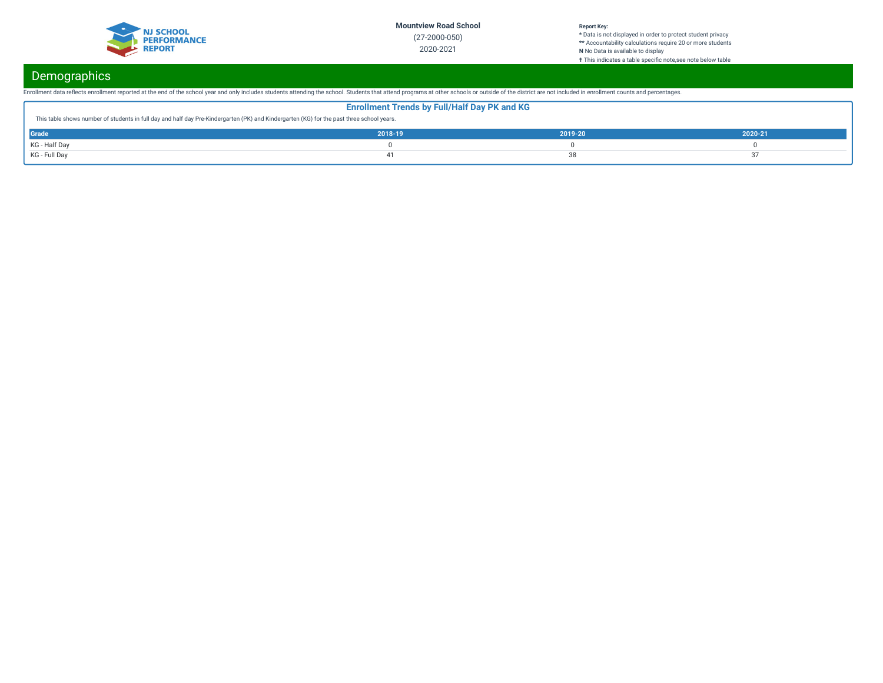

#### **Report Key:**

**\*** Data is not displayed in order to protect student privacy **\*\*** Accountability calculations require 20 or more students **N** No Data is available to display **†** This indicates a table specic note,see note below table

# **Demographics**

Enrollment data reflects enrollment reported at the end of the school year and only includes students attending the school. Students that attend programs at other schools or outside of the district are not included in enro

| <b>Enrollment Trends by Full/Half Day PK and KG</b>                                                                                       |         |         |         |  |  |  |
|-------------------------------------------------------------------------------------------------------------------------------------------|---------|---------|---------|--|--|--|
| This table shows number of students in full day and half day Pre-Kindergarten (PK) and Kindergarten (KG) for the past three school years. |         |         |         |  |  |  |
| <b>Grade</b>                                                                                                                              | 2018-19 | 2019-20 | 2020-21 |  |  |  |
| KG - Half Day                                                                                                                             |         |         |         |  |  |  |
| KG - Full Day                                                                                                                             |         |         |         |  |  |  |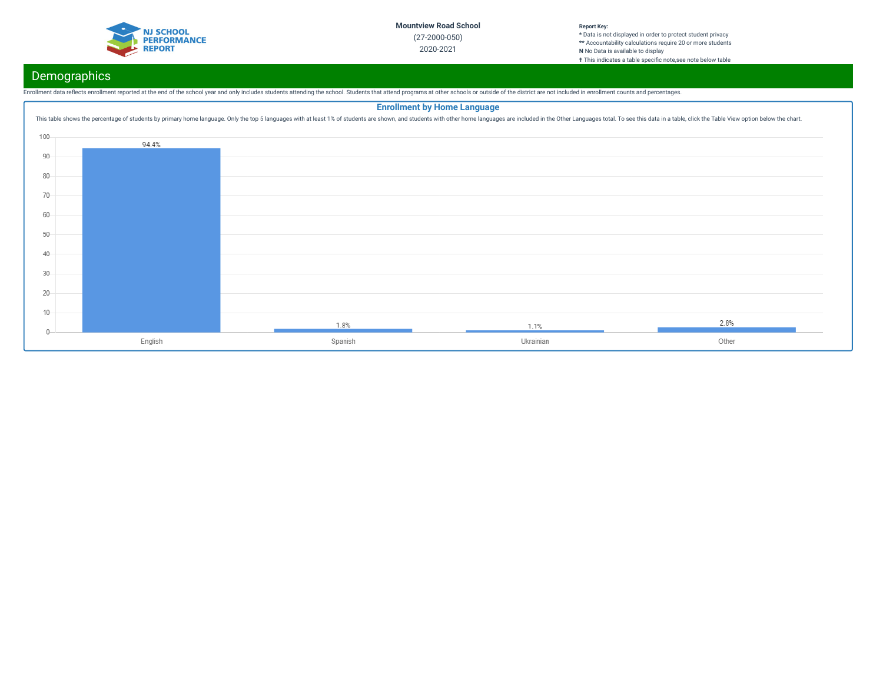

#### **Report Key: \*** Data is not displayed in order to protect student privacy **\*\*** Accountability calculations require 20 or more students **N** No Data is available to display **†** This indicates a table specific note, see note below table

# **Demographics**

Enrollment data reflects enrollment reported at the end of the school year and only includes students attending the school. Students that attend programs at other schools or outside of the district are not included in enro

|         |         |         | <b>Enrollment by Home Language</b>                                                                                                                                                                                             |       |
|---------|---------|---------|--------------------------------------------------------------------------------------------------------------------------------------------------------------------------------------------------------------------------------|-------|
|         |         |         | This table shows the percentage of students by primary home language. Only the top 5 languages with at least 1% of students are shown, and students with other home languages are included in the Other Languages total. To se |       |
| $100 -$ |         |         |                                                                                                                                                                                                                                |       |
|         | 94.4%   |         |                                                                                                                                                                                                                                |       |
| 90      |         |         |                                                                                                                                                                                                                                |       |
| 80      |         |         |                                                                                                                                                                                                                                |       |
| $70-$   |         |         |                                                                                                                                                                                                                                |       |
| 60      |         |         |                                                                                                                                                                                                                                |       |
| 50      |         |         |                                                                                                                                                                                                                                |       |
| 40      |         |         |                                                                                                                                                                                                                                |       |
| $30 -$  |         |         |                                                                                                                                                                                                                                |       |
| $20 -$  |         |         |                                                                                                                                                                                                                                |       |
| $10 -$  |         |         |                                                                                                                                                                                                                                |       |
|         |         | 1.8%    | 1.1%                                                                                                                                                                                                                           | 2.8%  |
|         | English | Spanish | Ukrainian                                                                                                                                                                                                                      | Other |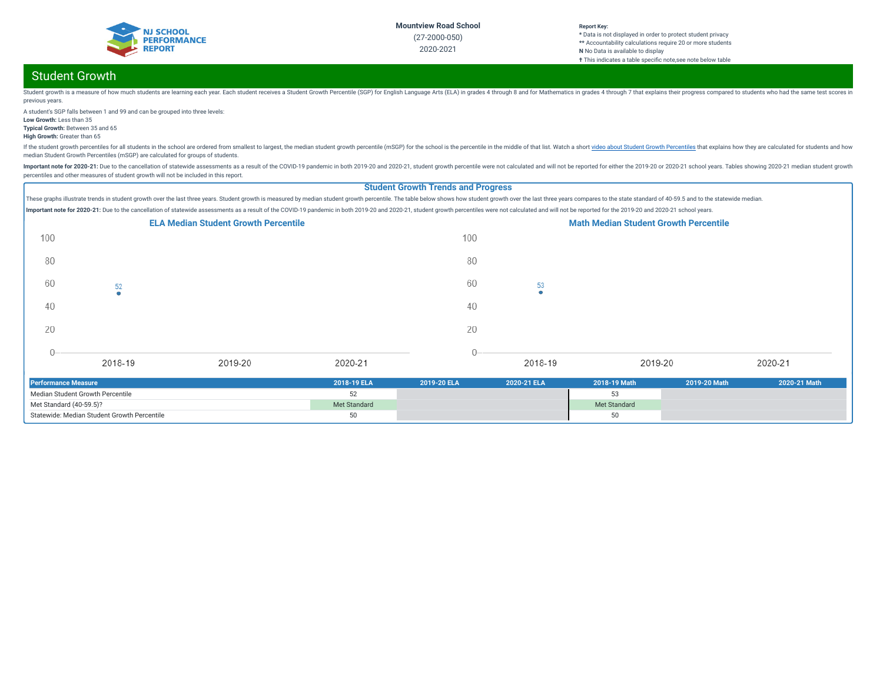

#### **Report Key: \*** Data is not displayed in order to protect student privacy **\*\*** Accountability calculations require 20 or more students **N** No Data is available to display **†** This indicates a table specific note, see note below table

# Student Growth

Student growth is a measure of how much students are learning each year. Each student receives a Student crowth Percentile (SGP) for English Language Arts (ELA) in grades 4 through 8 and for Mathematics in grades 4 through previous years.

A student's SGP falls between 1 and 99 and can be grouped into three levels: **Low Growth:** Less than 35

**Typical Growth:** Between 35 and 65

**High Growth:** Greater than 65

If the student growth percentiles for all students in the school are ordered from smallest to largest, the median student growth percentile (mSGP) for the school is the percentile in the middle of that list. Watch a short median Student Growth Percentiles (mSGP) are calculated for groups of students.

Important note for 2020-21: Due to the cancellation of statewide assessments as a result of the COVID-19 pandemic in both 2019-20 and 2020-21, student growth percentile were not calculated and will not be reported for eith percentiles and other measures of student growth will not be included in this report.

## **Student Growth Trends and Progress**

These graphs illustrate trends in student growth over the last three years. Student growth is measured by median student growth percentile. The table below shows how student growth over the last three years compares to the Important note for 2020-21: Due to the cancellation of statewide assessments as a result of the COVID-19 pandemic in both 2019-20 and 2020-21, student growth percentiles were not calculated and will not be reported for the



| Performance Measure                         | 2018-19 ELA  | 2019-20 ELA | 2020-21 ELA | 2018-19 Math | 2019-20 Math | 2020-21 Math |
|---------------------------------------------|--------------|-------------|-------------|--------------|--------------|--------------|
| Median Student Growth Percentile            |              |             |             |              |              |              |
| Met Standard (40-59.5)?                     | Met Standard |             |             | Met Standard |              |              |
| Statewide: Median Student Growth Percentile |              |             |             | 50           |              |              |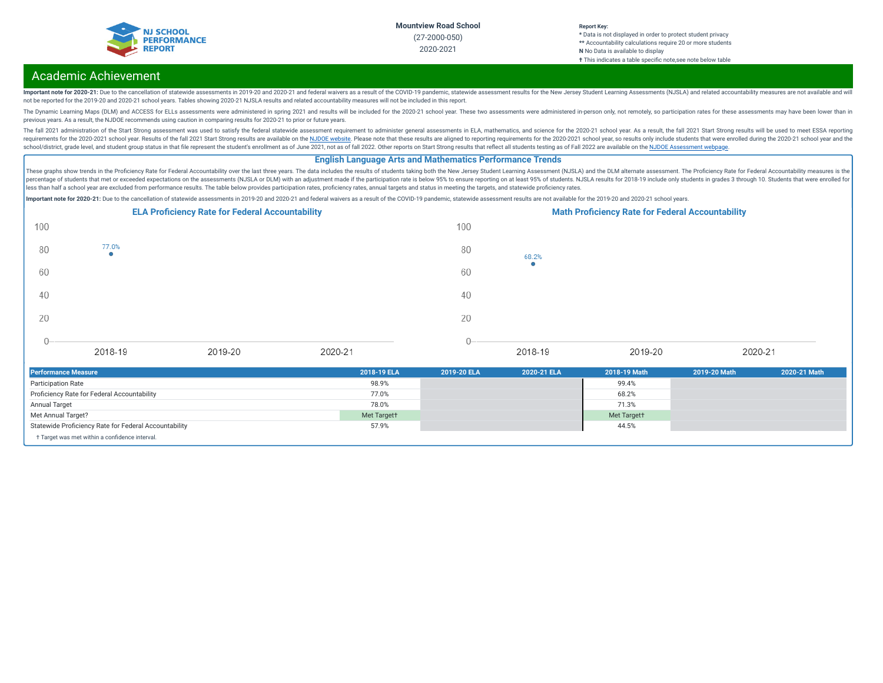

#### **Report Key: \*** Data is not displayed in order to protect student privacy **\*\*** Accountability calculations require 20 or more students **N** No Data is available to display **†** This indicates a table specific note, see note below table

# Academic Achievement

Important note for 2020-21: Due to the cancellation of statewide assessments in 2019-20 and 2020-21 and federal waivers as a result of the COVID-19 pandemic, statewide assessment results for the New Jersey Student Learning not be reported for the 2019-20 and 2020-21 school years. Tables showing 2020-21 NJSLA results and related accountability measures will not be included in this report.

The Dynamic Learning Maps (DLM) and ACCESS for ELLs assessments were administered in spring 2021 and results will be included for the 2020-21 school year. These two assessments were administered in-person only, not remotel previous years. As a result, the NJDOE recommends using caution in comparing results for 2020-21 to prior or future years.

The fall 2021 administration of the Start Strong assessment was used to satisfy the federal statewide assessment requirement to administer general assessments in ELA, mathematics, and science for the 2020-21 school year. A requirements for the 2020-2021 school year. Results of the fall 2021 Start Strong results are available on the NJDOE [website](https://www.state.nj.us/education/title1/accountability/progress/21/). Please note that these results are aligned to reporting requirements for the 2020-2021 school ye school/district, grade level, and student group status in that file represent the student's enrollment as of June 2021, not as of fall 2022. Other reports on Start Strong results that reflect all students testing as of Fal

### **English Language Arts and Mathematics Performance Trends**

These graphs show trends in the Proficiency Rate for Federal Accountability over the last three years. The data includes the results of students taking both the New Jersey Student Learning Assessment (NJSLA) and the DLM al percentage of students that met or exceeded expectations on the assessments (NJSLA or DLM) with an adjustment made if the participation rate is below 95% to ensure reporting on at least 95% of students. NJSLA results for 2 less than half a school year are excluded from performance results. The table below provides participation rates, proficiency rates, annual targets and status in meeting the targets, and statewide proficiency rates.

Important note for 2020-21: Due to the cancellation of statewide assessments in 2019-20 and 2020-21 and federal waivers as a result of the COVID-19 pandemic, statewide assessment results are not available for the 2019-20 a



| <b>Performance Measure</b>                            | 2018-19 ELA | 2019-20 ELA | 2020-21 ELA | 2018-19 Math | 2019-20 Math | 2020-21 Math |
|-------------------------------------------------------|-------------|-------------|-------------|--------------|--------------|--------------|
| <b>Participation Rate</b>                             | 98.9%       |             |             | 99.4%        |              |              |
| Proficiency Rate for Federal Accountability           | 77.0%       |             |             | 68.2%        |              |              |
| Annual Target                                         | 78.0%       |             |             | 71.3%        |              |              |
| Met Annual Target?                                    | Met Targett |             |             | Met Targett  |              |              |
| Statewide Proficiency Rate for Federal Accountability | 57.9%       |             |             | 44.5%        |              |              |
| + Target was met within a confidence interval.        |             |             |             |              |              |              |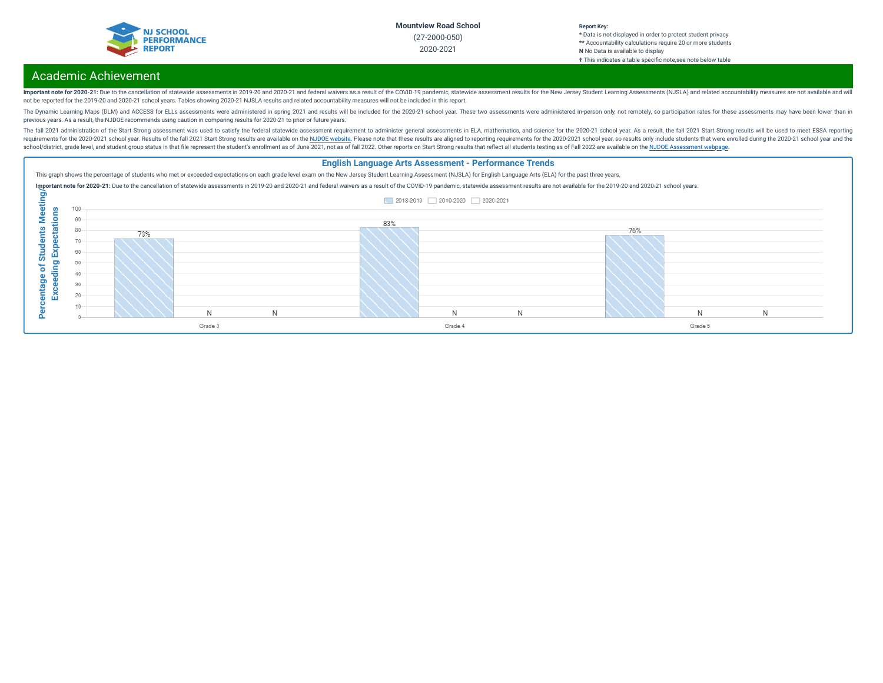

#### **Report Key: \*** Data is not displayed in order to protect student privacy **\*\*** Accountability calculations require 20 or more students **N** No Data is available to display **†** This indicates a table specic note,see note below table

# Academic Achievement

Important note for 2020-21: Due to the cancellation of statewide assessments in 2019-20 and 2020-21 and federal waivers as a result of the COVID-19 pandemic, statewide assessment results for the New Jersey Student Learning not be reported for the 2019-20 and 2020-21 school years. Tables showing 2020-21 NJSLA results and related accountability measures will not be included in this report.

The Dynamic Learning Maps (DLM) and ACCESS for ELLs assessments were administered in spring 2021 and results will be included for the 2020-21 school year. These two assessments were administered in-person only, not remotel previous years. As a result, the NJDOE recommends using caution in comparing results for 2020-21 to prior or future years.

The fall 2021 administration of the Start Strong assessment was used to satisfy the federal statewide assessment requirement to administer general assessments in ELA, mathematics, and science for the 2020-21 school year. A requirements for the 2020-2021 school year. Results of the fall 2021 Start Strong results are available on the NJDOE [website](https://www.state.nj.us/education/title1/accountability/progress/21/). Please note that these results are aligned to reporting requirements for the 2020-2021 school ye school/district, grade level, and student group status in that file represent the student's enrollment as of June 2021, not as of fall 2022. Other reports on Start Strong results that reflect all students testing as of Fal

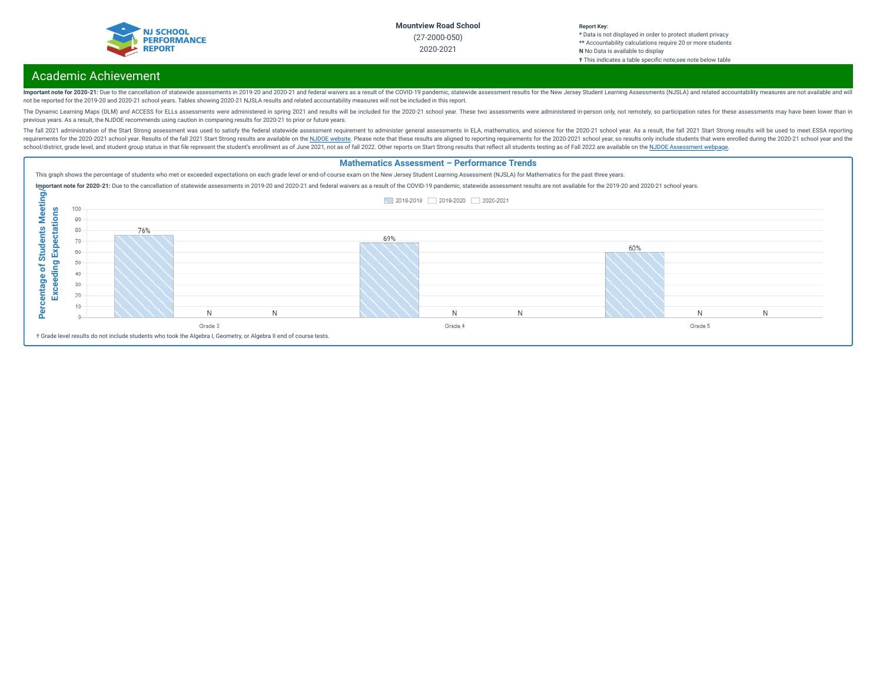

#### **Report Key: \*** Data is not displayed in order to protect student privacy **\*\*** Accountability calculations require 20 or more students **N** No Data is available to display **†** This indicates a table specic note,see note below table

# Academic Achievement

Important note for 2020-21: Due to the cancellation of statewide assessments in 2019-20 and 2020-21 and federal waivers as a result of the COVID-19 pandemic, statewide assessment results for the New Jersey Student Learning not be reported for the 2019-20 and 2020-21 school years. Tables showing 2020-21 NJSLA results and related accountability measures will not be included in this report.

The Dynamic Learning Maps (DLM) and ACCESS for ELLs assessments were administered in spring 2021 and results will be included for the 2020-21 school year. These two assessments were administered in-person only, not remotel previous years. As a result, the NJDOE recommends using caution in comparing results for 2020-21 to prior or future years.

The fall 2021 administration of the Start Strong assessment was used to satisfy the federal statewide assessment requirement to administer general assessments in ELA, mathematics, and science for the 2020-21 school year. A requirements for the 2020-2021 school year. Results of the fall 2021 Start Strong results are available on the NJDOE [website](https://www.state.nj.us/education/title1/accountability/progress/21/). Please note that these results are aligned to reporting requirements for the 2020-2021 school ye school/district, grade level, and student group status in that file represent the student's enrollment as of June 2021, not as of fall 2022. Other reports on Start Strong results that reflect all students testing as of Fal

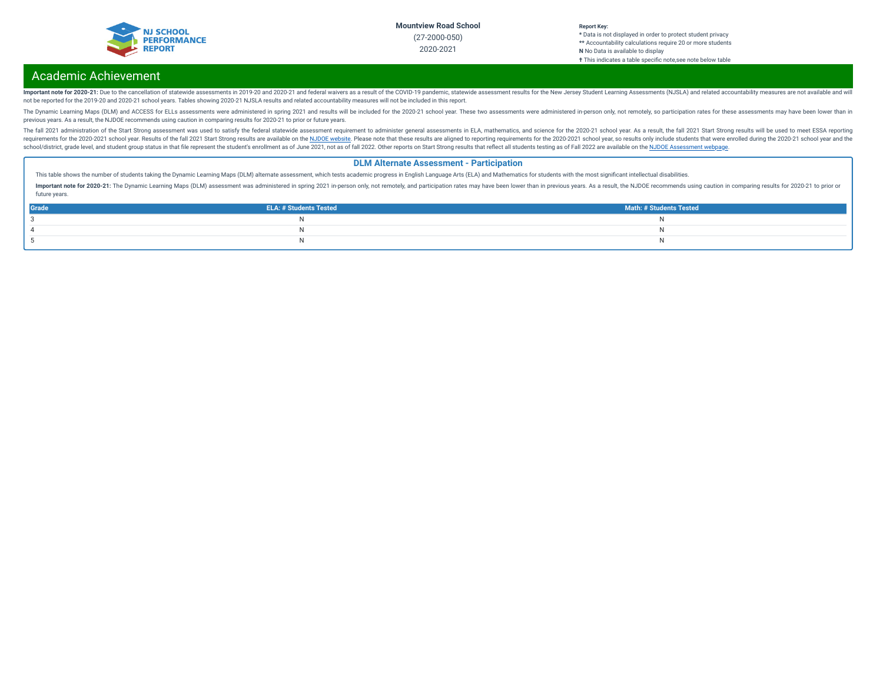

#### **Report Key: \*** Data is not displayed in order to protect student privacy **\*\*** Accountability calculations require 20 or more students **N** No Data is available to display **†** This indicates a table specic note,see note below table

# Academic Achievement

Important note for 2020-21: Due to the cancellation of statewide assessments in 2019-20 and 2020-21 and federal waivers as a result of the COVID-19 pandemic, statewide assessment results for the New Jersey Student Learning not be reported for the 2019-20 and 2020-21 school years. Tables showing 2020-21 NJSLA results and related accountability measures will not be included in this report.

The Dynamic Learning Maps (DLM) and ACCESS for ELLs assessments were administered in spring 2021 and results will be included for the 2020-21 school year. These two assessments were administered in-person only, not remotel previous years. As a result, the NJDOE recommends using caution in comparing results for 2020-21 to prior or future years.

The fall 2021 administration of the Start Strong assessment was used to satisfy the federal statewide assessment requirement to administer general assessments in ELA, mathematics, and science for the 2020-21 school year. A requirements for the 2020-2021 school year. Results of the fall 2021 Start Strong results are available on the NJDOE [website](https://www.state.nj.us/education/title1/accountability/progress/21/). Please note that these results are aligned to reporting requirements for the 2020-2021 school ye school/district, grade level, and student group status in that file represent the student's enrollment as of June 2021, not as of fall 2022. Other reports on Start Strong results that reflect all students testing as of Fal

### **DLM Alternate Assessment - Participation**

This table shows the number of students taking the Dynamic Learning Maps (DLM) alternate assessment, which tests academic progress in English Language Arts (ELA) and Mathematics for students with the most significant intel

Important note for 2020-21: The Dynamic Learning Maps (DLM) assessment was administered in spring 2021 in-person only, not remotely, and participation rates may have been lower than in previous years. As a result, the NJDO future years.

| Grade | <b>ELA: # Students Tested</b> | Math: # Students Tested |
|-------|-------------------------------|-------------------------|
|       |                               |                         |
|       |                               |                         |
|       |                               |                         |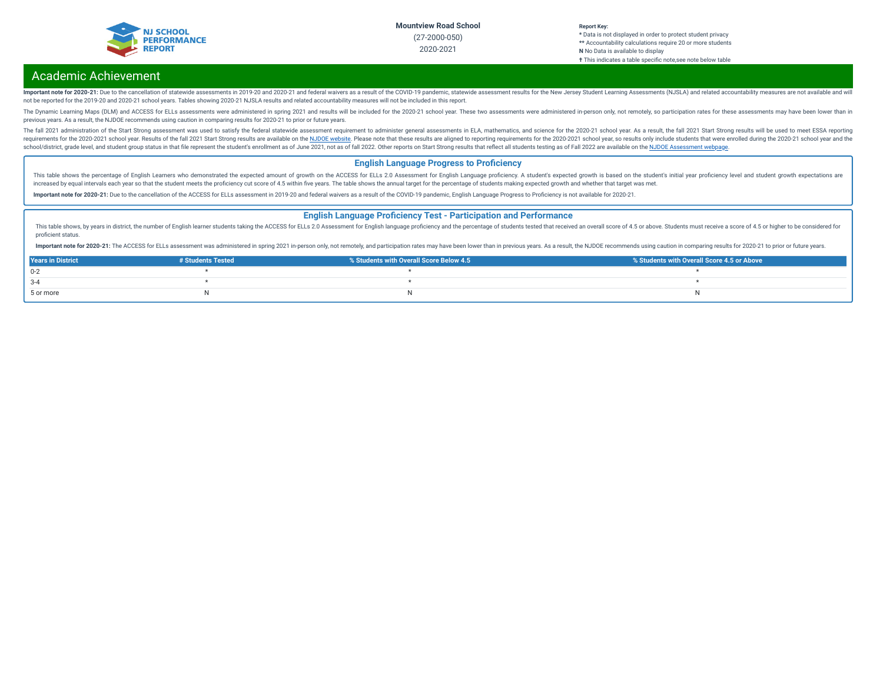

#### **Report Key: \*** Data is not displayed in order to protect student privacy **\*\*** Accountability calculations require 20 or more students **N** No Data is available to display **†** This indicates a table specific note, see note below table

# Academic Achievement

Important note for 2020-21: Due to the cancellation of statewide assessments in 2019-20 and 2020-21 and federal waivers as a result of the COVID-19 pandemic, statewide assessment results for the New Jersey Student Learning not be reported for the 2019-20 and 2020-21 school years. Tables showing 2020-21 NJSLA results and related accountability measures will not be included in this report.

The Dynamic Learning Maps (DLM) and ACCESS for ELLs assessments were administered in spring 2021 and results will be included for the 2020-21 school year. These two assessments were administered in-person only, not remotel previous years. As a result, the NJDOE recommends using caution in comparing results for 2020-21 to prior or future years.

The fall 2021 administration of the Start Strong assessment was used to satisfy the federal statewide assessment requirement to administer general assessments in ELA, mathematics, and science for the 2020-21 school year. A requirements for the 2020-2021 school year. Results of the fall 2021 Start Strong results are available on the NJDOE [website](https://www.state.nj.us/education/title1/accountability/progress/21/). Please note that these results are aligned to reporting requirements for the 2020-2021 school ye school/district, grade level, and student group status in that file represent the student's enrollment as of June 2021, not as of fall 2022. Other reports on Start Strong results that reflect all students testing as of Fal

### **English Language Progress to Proficiency**

This table shows the percentage of English Learners who demonstrated the expected amount of growth on the ACCESS for ELLs 2.0 Assessment for English Language proficiency. A student's expected growth is based on the student increased by equal intervals each year so that the student meets the proficiency cut score of 4.5 within five years. The table shows the annual target for the percentage of students making expected growth and whether that

Important note for 2020-21: Due to the cancellation of the ACCESS for ELLs assessment in 2019-20 and federal waivers as a result of the COVID-19 pandemic, English Language Progress to Proficiency is not available for 2020-

#### **English Language Proficiency Test - Participation and Performance**

This table shows, by years in district, the number of English learner students taking the ACCESS for ELLs 2.0 Assessment for English language proficiency and the percentage of students tested that received an overall score proficient status.

Important note for 2020-21: The ACCESS for ELLs assessment was administered in spring 2021 in-person only, not remotely, and participation rates may have been lower than in previous years. As a result, the NJDOE recommends

| <b>Years in District</b> | # Students Tested | % Students with Overall Score Below 4.5 | ■ % Students with Overall Score 4.5 or Above |
|--------------------------|-------------------|-----------------------------------------|----------------------------------------------|
| $0 - 2$                  |                   |                                         |                                              |
| $3 - 4$                  |                   |                                         |                                              |
| 5 or more                |                   |                                         |                                              |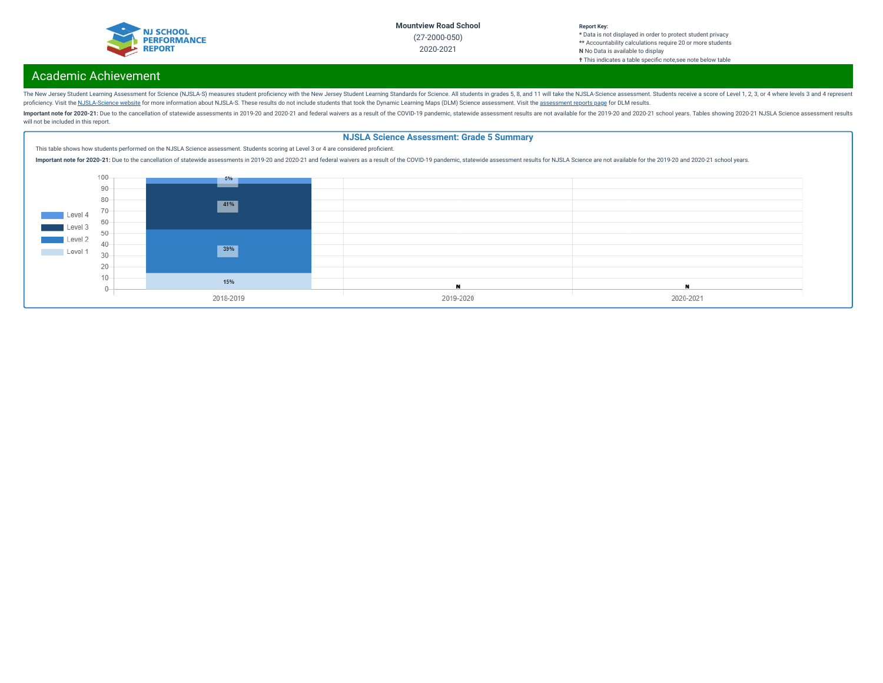

#### **Report Key: \*** Data is not displayed in order to protect student privacy **\*\*** Accountability calculations require 20 or more students **N** No Data is available to display **†** This indicates a table specific note, see note below table

# Academic Achievement

The New Jersey Student Learning Assessment for Science (NJSLA-S) measures student proficiency with the New Jersey Student Learning Standards for Science. All students in grades 5, 8, and 11 will take the NJSLA-Science asse proficiency. Visit the [NJSLA-Science](https://www.nj.gov/education/assessment/resources/science/) website for more information about NJSLA-S. These results do not include students that took the Dynamic Learning Maps (DLM) Science [assessment](https://www.nj.gov/education/schools/achievement/). Visit the assessment reports page for DLM

Important note for 2020-21: Due to the cancellation of statewide assessments in 2019-20 and 2020-21 and federal waivers as a result of the COVID-19 pandemic, statewide assessment results are not available for the 2019-20 a will not be included in this report.

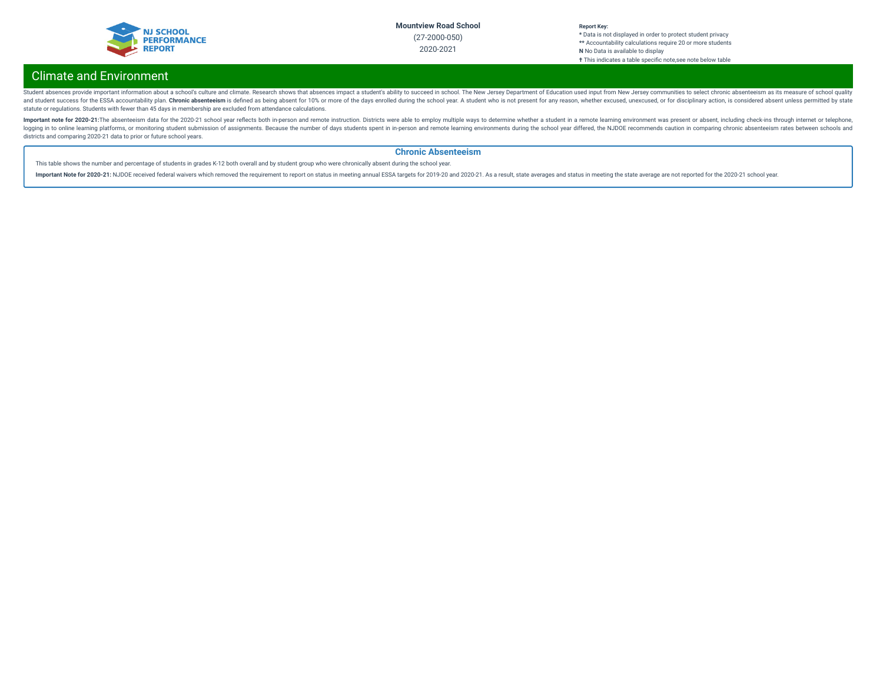

#### **Report Key: \*** Data is not displayed in order to protect student privacy **\*\*** Accountability calculations require 20 or more students **N** No Data is available to display **†** This indicates a table specic note,see note below table

# Climate and Environment

Student absences provide important information about a school's culture and climate. Research shows that absences impact a student's ability to succeed in school. The New Jersey Department of Education used input from New and student success for the ESSA accountability plan. Chronic absenteeism is defined as being absent for 10% or more of the days enrolled during the school year. A student who is not present for any reason, whether excused statute or regulations. Students with fewer than 45 days in membership are excluded from attendance calculations.

Important note for 2020-21:The absenteeism data for the 2020-21 school year reflects both in-person and remote instruction. Districts were able to employ multiple ways to determine whether a student in a remote learning en logging in to online learning platforms, or monitoring student submission of assignments. Because the number of days students spent in in-person and remote learning environments during the school year differed, the NJDOE r districts and comparing 2020-21 data to prior or future school years.

### **Chronic Absenteeism**

This table shows the number and percentage of students in grades K-12 both overall and by student group who were chronically absent during the school year.

Important Note for 2020-21: NJDOE received federal waivers which removed the requirement to report on status in meeting annual ESSA targets for 2019-20 and 2020-21. As a result, state averages and status in meeting the sta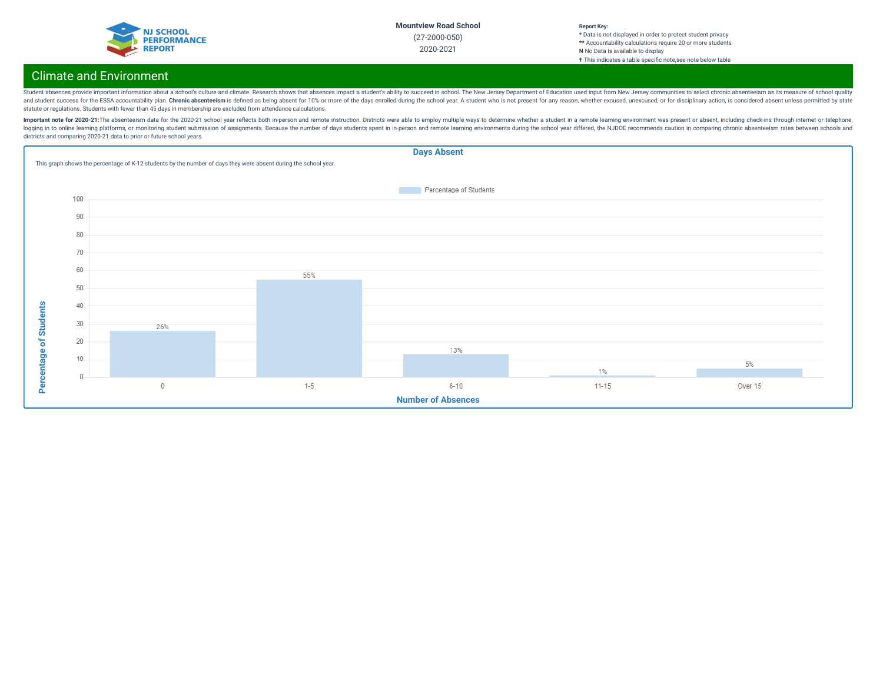

#### **Report Key: \*** Data is not displayed in order to protect student privacy **\*\*** Accountability calculations require 20 or more students **N** No Data is available to display **†** This indicates a table specic note,see note below table

# Climate and Environment

Student absences provide important information about a school's culture and climate. Research shows that absences impact a student's ability to succeed in school. The New Jersey Department of Education used input from New and student success for the ESSA accountability plan. Chronic absenteeism is defined as being absent for 10% or more of the days enrolled during the school year. A student who is not present for any reason, whether excused statute or regulations. Students with fewer than 45 days in membership are excluded from attendance calculations.

Important note for 2020-21:The absenteeism data for the 2020-21 school year reflects both in-person and remote instruction. Districts were able to employ multiple ways to determine whether a student in a remote learning en logging in to online learning platforms, or monitoring student submission of assignments. Because the number of days students spent in in-person and remote learning environments during the school year differed, the NJDOE r districts and comparing 2020-21 data to prior or future school years.

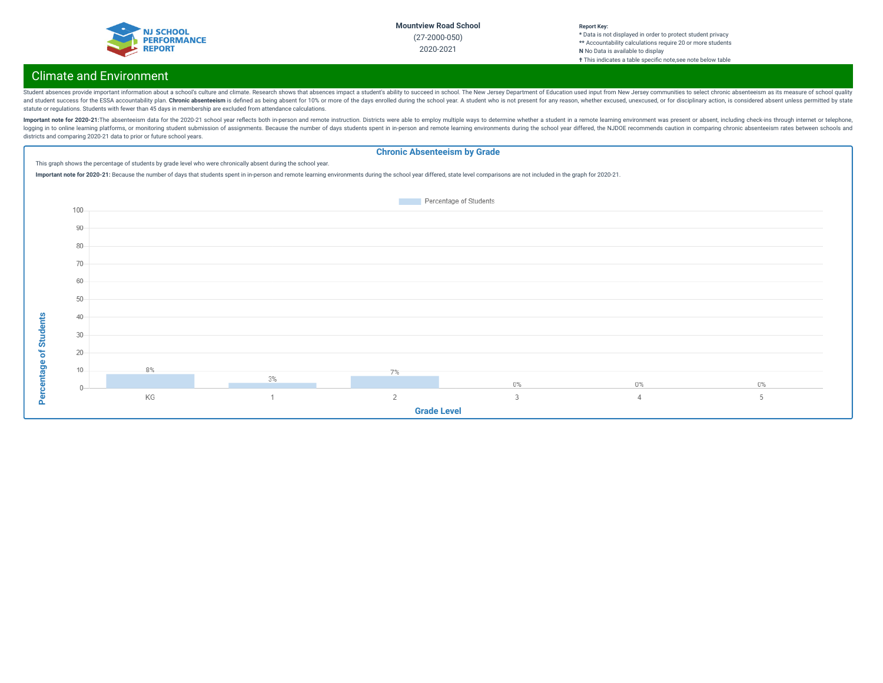

#### **Report Key: \*** Data is not displayed in order to protect student privacy **\*\*** Accountability calculations require 20 or more students **N** No Data is available to display **†** This indicates a table specic note,see note below table

# Climate and Environment

Student absences provide important information about a school's culture and climate. Research shows that absences impact a student's ability to succeed in school. The New Jersey Department of Education used input from New and student success for the ESSA accountability plan. Chronic absenteeism is defined as being absent for 10% or more of the days enrolled during the school year. A student who is not present for any reason, whether excused statute or regulations. Students with fewer than 45 days in membership are excluded from attendance calculations.

Important note for 2020-21:The absenteeism data for the 2020-21 school year reflects both in-person and remote instruction. Districts were able to employ multiple ways to determine whether a student in a remote learning en logging in to online learning platforms, or monitoring student submission of assignments. Because the number of days students spent in in-person and remote learning environments during the school year differed, the NJDOE r districts and comparing 2020-21 data to prior or future school years.

## **Chronic Absenteeism by Grade**

This graph shows the percentage of students by grade level who were chronically absent during the school year.

Important note for 2020-21: Because the number of days that students spent in in-person and remote learning environments during the school year differed, state level comparisons are not included in the graph for 2020-21.

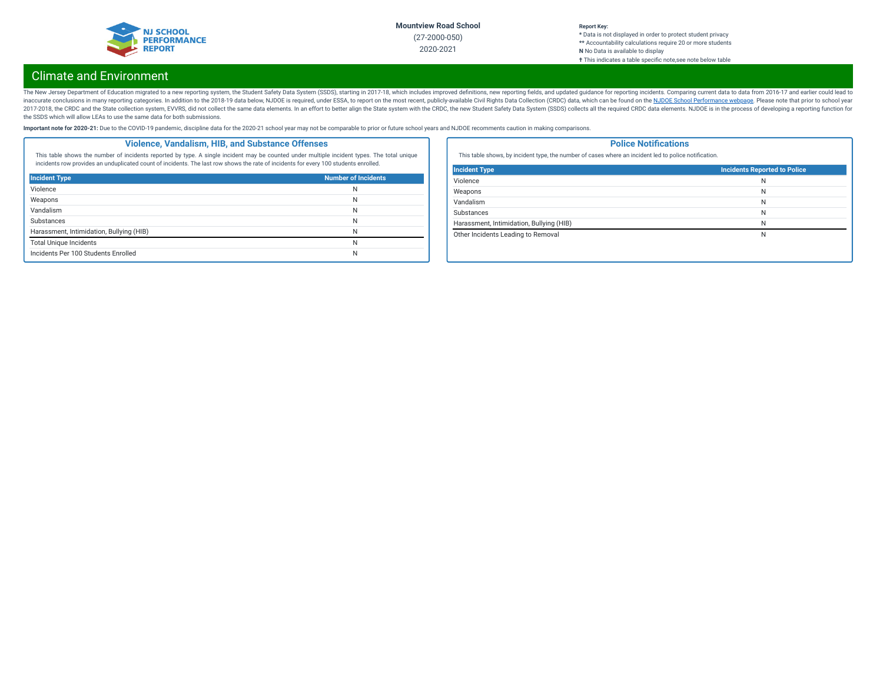

## **Report Key:**

**\*** Data is not displayed in order to protect student privacy **\*\*** Accountability calculations require 20 or more students **N** No Data is available to display **†** This indicates a table specic note,see note below table

# Climate and Environment

The New Jersey Department of Education migrated to a new reporting system, the Student Safety Data System (SSDS), starting in 2017-18, which includes improved definitions, new reporting fields, and updated guidance for rep inaccurate conclusions in many reporting categories. In addition to the 2018-19 data below, NJDOE is required, under ESSA, to report on the most recent, publicly-available Civil Rights Data Collection (CRDC) data, which ca 2017-2018, the CRDC and the State collection system, EVVRS, did not collect the same data elements. In an effort to better align the State system with the CRDC, the new Student Safety Data System (SSDS) collects all the re the SSDS which will allow LEAs to use the same data for both submissions.

Important note for 2020-21: Due to the COVID-19 pandemic, discipline data for the 2020-21 school year may not be comparable to prior or future school years and NJDOE recomments caution in making comparisons.

### **Violence, Vandalism, HIB, and Substance Offenses**

This table shows the number of incidents reported by type. A single incident may be counted under multiple incident types. The total unique incidents row provides an unduplicated count of incidents. The last row shows the rate of incidents for every 100 students enrolled.

| <b>Incident Type</b>                     | <b>Number of Incidents</b> |
|------------------------------------------|----------------------------|
| Violence                                 | N                          |
| Weapons                                  | N                          |
| Vandalism                                | N                          |
| <b>Substances</b>                        | N                          |
| Harassment, Intimidation, Bullying (HIB) | N                          |
| <b>Total Unique Incidents</b>            | N                          |
| Incidents Per 100 Students Enrolled      | N                          |

### **Police Notifications**

This table shows, by incident type, the number of cases where an incident led to police notification.

| <b>Incident Type</b>                     | Incidents Reported to Police |
|------------------------------------------|------------------------------|
| Violence                                 | N                            |
| Weapons                                  | N                            |
| Vandalism                                | N                            |
| <b>Substances</b>                        | N                            |
| Harassment, Intimidation, Bullying (HIB) | N                            |
| Other Incidents Leading to Removal       | N                            |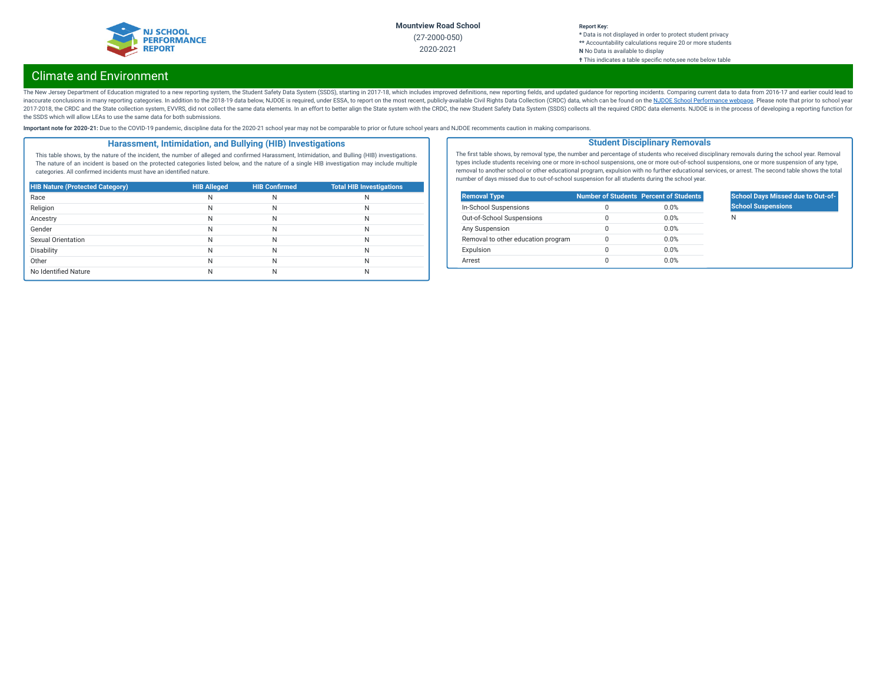

### **Report Key:**

**\*** Data is not displayed in order to protect student privacy **\*\*** Accountability calculations require 20 or more students **N** No Data is available to display **†** This indicates a table specic note,see note below table

# Climate and Environment

The New Jersey Department of Education migrated to a new reporting system, the Student Safety Data System (SSDS), starting in 2017-18, which includes improved definitions, new reporting fields, and updated guidance for rep inaccurate conclusions in many reporting categories. In addition to the 2018-19 data below, NJDOE is required, under ESSA, to report on the most recent, publicly-available Civil Rights Data Collection (CRDC) data, which ca 2017-2018, the CRDC and the State collection system, EVVRS, did not collect the same data elements. In an effort to better align the State system with the CRDC, the new Student Safety Data System (SSDS) collects all the re the SSDS which will allow LEAs to use the same data for both submissions.

Important note for 2020-21: Due to the COVID-19 pandemic, discipline data for the 2020-21 school year may not be comparable to prior or future school years and NJDOE recomments caution in making comparisons.

### **Harassment, Intimidation, and Bullying (HIB) Investigations**

This table shows, by the nature of the incident, the number of alleged and confirmed Harassment, Intimidation, and Bulling (HIB) investigations. The nature of an incident is based on the protected categories listed below, and the nature of a single HIB investigation may include multiple categories. All confirmed incidents must have an identified nature.

| <b>HIB Nature (Protected Category)</b> | <b>HIB Alleged</b> | <b>HIB Confirmed</b> | <b>Total HIB Investigations</b> |
|----------------------------------------|--------------------|----------------------|---------------------------------|
| Race                                   | Ν                  | N                    | N                               |
| Religion                               | N                  | N                    | N                               |
| Ancestry                               | N                  | N                    | N                               |
| Gender                                 | N                  | N                    | N                               |
| Sexual Orientation                     | N                  | N                    | N                               |
| Disability                             | N                  | Ν                    | N                               |
| Other                                  | N                  | Ν                    | N                               |
| No Identified Nature                   |                    | N                    | N                               |

The first table shows, by removal type, the number and percentage of students who received disciplinary removals during the school year. Removal types include students receiving one or more in-school suspensions, one or more out-of-school suspensions, one or more suspension of any type, removal to another school or other educational program, expulsion with no further educational services, or arrest. The second table shows the total number of days missed due to out-of-school suspension for all students during the school year.

**Student Disciplinary Removals**

| <b>Removal Type</b>                |   | <b>Number of Students Percent of Students</b> |
|------------------------------------|---|-----------------------------------------------|
| In-School Suspensions              | Ω | 0.0%                                          |
| Out-of-School Suspensions          | 0 | 0.0%                                          |
| Any Suspension                     | 0 | 0.0%                                          |
| Removal to other education program | Ω | 0.0%                                          |
| Expulsion                          | 0 | 0.0%                                          |
| Arrest                             | 0 | 0.0%                                          |

### **School Days Missed due to Out-of-School Suspensions**

N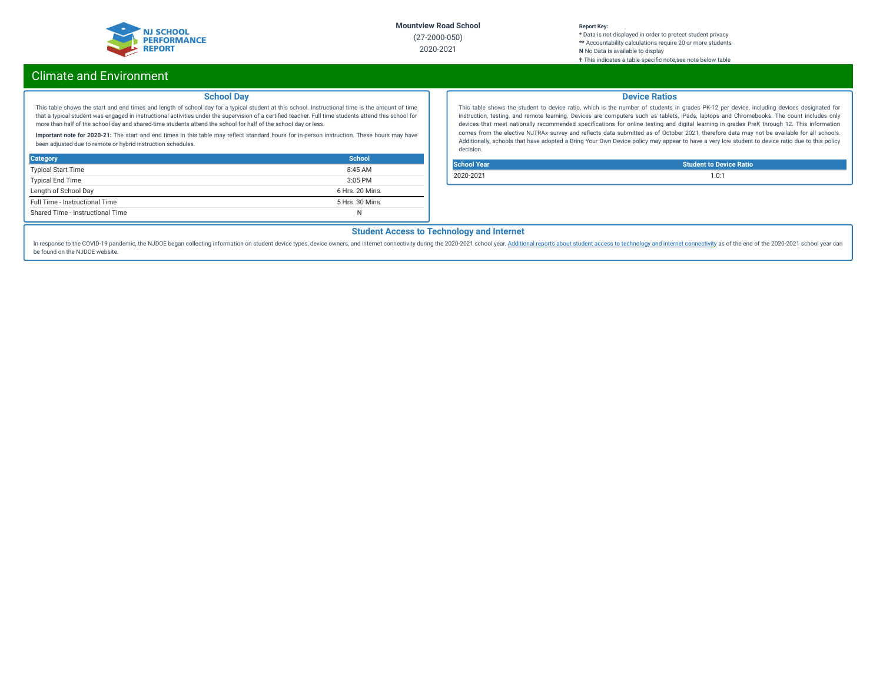

### **Report Key:**

**\*** Data is not displayed in order to protect student privacy **\*\*** Accountability calculations require 20 or more students **N** No Data is available to display **†** This indicates a table specic note,see note below table

# Climate and Environment

### **School Day**

This table shows the start and end times and length of school day for a typical student at this school. Instructional time is the amount of time that a typical student was engaged in instructional activities under the supervision of a certified teacher. Full time students attend this school for more than half of the school day and shared-time students attend the school for half of the school day or less.

Important note for 2020-21: The start and end times in this table may reflect standard hours for in-person instruction. These hours may have been adjusted due to remote or hybrid instruction schedules.

| <b>Category</b>                  | School          |
|----------------------------------|-----------------|
| <b>Typical Start Time</b>        | 8:45AM          |
| <b>Typical End Time</b>          | $3:05$ PM       |
| Length of School Day             | 6 Hrs. 20 Mins. |
| Full Time - Instructional Time   | 5 Hrs. 30 Mins. |
| Shared Time - Instructional Time | N               |

### **Device Ratios**

This table shows the student to device ratio, which is the number of students in grades PK-12 per device, including devices designated for instruction, testing, and remote learning. Devices are computers such as tablets, iPads, laptops and Chromebooks. The count includes only devices that meet nationally recommended specifications for online testing and digital learning in grades PreK through 12. This information comes from the elective NJTRAx survey and reflects data submitted as of October 2021, therefore data may not be available for all schools. Additionally, schools that have adopted a Bring Your Own Device policy may appear to have a very low student to device ratio due to this policy decision.

**School Year Student to Device Ratio** 2020-2021 1.0:1

## **Student Access to Technology and Internet**

In response to the COVID-19 pandemic, the NJDOE began collecting information on student device types, device owners, and internet [connectivity](https://www.nj.gov/education/schoolperformance/climate/docs/2020-2021%20Opportunity%20to%20Learn%20Data.xlsx) during the 2020-2021 school year. Additional reports about student access to te be found on the NJDOE website.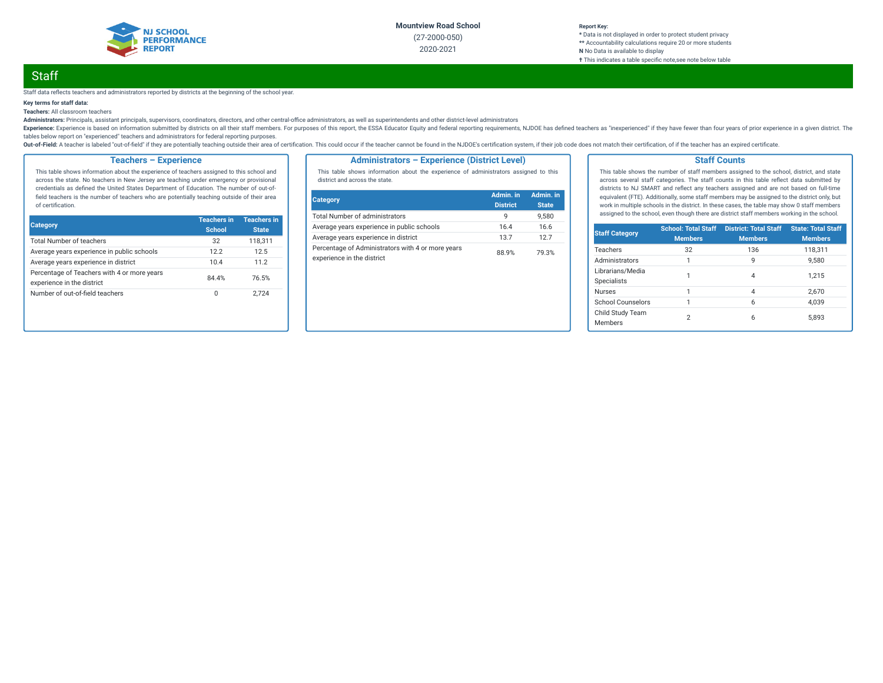

#### **Report Key: \*** Data is not displayed in order to protect student privacy **\*\*** Accountability calculations require 20 or more students **N** No Data is available to display **†** This indicates a table specic note,see note below table

# **Staff**

#### Staff data reflects teachers and administrators reported by districts at the beginning of the school year.

### **Key terms for staff data:**

**Teachers:** All classroom teachers

Administrators: Principals, assistant principals, supervisors, coordinators, directors, and other central-office administrators, as well as superintendents and other district-level administrators

Experience: Experience is based on information submitted by districts on all their staff members. For purposes of this report, the ESSA Educator Equity and federal reporting requirements, NJDOE has defined teachers as "ine tables below report on "experienced" teachers and administrators for federal reporting purposes.

Out-of-Field: A teacher is labeled "out-of-field" if they are potentially teaching outside their area of certification. This could occur if the teacher cannot be found in the NJDOE's certification system, if their job code

### **Teachers – Experience**

This table shows information about the experience of teachers assigned to this school and across the state. No teachers in New Jersey are teaching under emergency or provisional credentials as defined the United States Department of Education. The number of out-offield teachers is the number of teachers who are potentially teaching outside of their area of certification.

| <b>Category</b>                                                           | <b>Teachers in</b><br><b>School</b> | <b>Teachers in</b><br><b>State</b> |
|---------------------------------------------------------------------------|-------------------------------------|------------------------------------|
| <b>Total Number of teachers</b>                                           | 32                                  | 118,311                            |
| Average years experience in public schools                                | 12.2                                | 12.5                               |
| Average years experience in district                                      | 10.4                                | 11.2                               |
| Percentage of Teachers with 4 or more years<br>experience in the district | 84.4%                               | 76.5%                              |
| Number of out-of-field teachers                                           | 0                                   | 2.724                              |

### **Administrators – Experience (District Level)**

This table shows information about the experience of administrators assigned to this district and across the state.

| <b>Category</b>                                                                 | Admin. in<br><b>District</b> | Admin. in<br><b>State</b> |
|---------------------------------------------------------------------------------|------------------------------|---------------------------|
| <b>Total Number of administrators</b>                                           | q                            | 9.580                     |
| Average years experience in public schools                                      | 16.4                         | 16.6                      |
| Average years experience in district                                            | 13.7                         | 127                       |
| Percentage of Administrators with 4 or more years<br>experience in the district | 88.9%                        | 79.3%                     |

#### **Staff Counts**

This table shows the number of staff members assigned to the school, district, and state across several staff categories. The staff counts in this table reflect data submitted by districts to NJ SMART and reflect any teachers assigned and are not based on full-time equivalent (FTE). Additionally, some staff members may be assigned to the district only, but work in multiple schools in the district. In these cases, the table may show 0 staff members assigned to the school, even though there are district staff members working in the school.

| <b>Staff Category</b>                  | <b>School: Total Staff</b><br><b>Members</b> | <b>District: Total Staff</b><br><b>Members</b> | <b>State: Total Staff</b><br><b>Members</b> |
|----------------------------------------|----------------------------------------------|------------------------------------------------|---------------------------------------------|
| Teachers                               | 32                                           | 136                                            | 118,311                                     |
| Administrators                         |                                              | 9                                              | 9.580                                       |
| Librarians/Media<br><b>Specialists</b> |                                              | 4                                              | 1.215                                       |
| <b>Nurses</b>                          | 1                                            | $\overline{4}$                                 | 2.670                                       |
| School Counselors                      | 1                                            | 6                                              | 4.039                                       |
| Child Study Team<br><b>Members</b>     | 2                                            | 6                                              | 5.893                                       |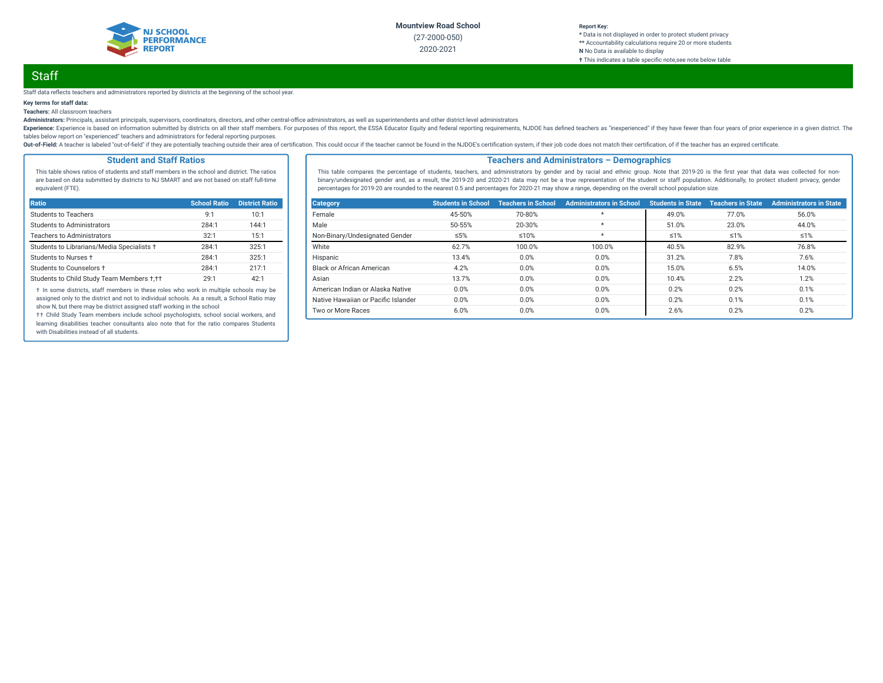

#### **Report Key: \*** Data is not displayed in order to protect student privacy **\*\*** Accountability calculations require 20 or more students **N** No Data is available to display **†** This indicates a table specic note,see note below table

# **Staff**

#### Staff data reflects teachers and administrators reported by districts at the beginning of the school year.

### **Key terms for staff data:**

**Teachers:** All classroom teachers

Administrators: Principals, assistant principals, supervisors, coordinators, directors, and other central-office administrators, as well as superintendents and other district-level administrators

Experience: Experience is based on information submitted by districts on all their staff members. For purposes of this report, the ESSA Educator Equity and federal reporting requirements, NJDOE has defined teachers as "ine tables below report on "experienced" teachers and administrators for federal reporting purposes.

Out-of-Field: A teacher is labeled "out-of-field" if they are potentially teaching outside their area of certification. This could occur if the teacher cannot be found in the NJDOE's certification system, if their job code

### **Student and Staff Ratios**

This table shows ratios of students and staff members in the school and district. The ratios are based on data submitted by districts to NJ SMART and are not based on staff full-time equivalent (FTE).

| Ratio                                      | <b>School Ratio</b> | <b>District Ratio</b> |
|--------------------------------------------|---------------------|-----------------------|
| Students to Teachers                       | 9:1                 | 10:1                  |
| Students to Administrators                 | 284:1               | 144:1                 |
| <b>Teachers to Administrators</b>          | 32:1                | 15:1                  |
| Students to Librarians/Media Specialists + | 284:1               | 325:1                 |
| Students to Nurses +                       | 284:1               | 325:1                 |
| Students to Counselors +                   | 284:1               | 217:1                 |
| Students to Child Study Team Members +,++  | 29:1                | 42:1                  |

† In some districts, staff members in these roles who work in multiple schools may be assigned only to the district and not to individual schools. As a result, a School Ratio may show N, but there may be district assigned staff working in the school

†† Child Study Team members include school psychologists, school social workers, and learning disabilities teacher consultants also note that for the ratio compares Students with Disabilities instead of all students.

### **Teachers and Administrators – Demographics**

This table compares the percentage of students, teachers, and administrators by gender and by racial and ethnic group. Note that 2019-20 is the first year that data was collected for nonbinary/undesignated gender and, as a result, the 2019-20 and 2020-21 data may not be a true representation of the student or staff population. Additionally, to protect student privacy, gender percentages for 2019-20 are rounded to the nearest 0.5 and percentages for 2020-21 may show a range, depending on the overall school population size.

| <b>Category</b>                     | <b>Students in School</b> | <b>Teachers in School</b> | <b>Administrators in School</b> | <b>Students in State</b> | <b>Teachers in State</b> | <b>Administrators in State</b> |
|-------------------------------------|---------------------------|---------------------------|---------------------------------|--------------------------|--------------------------|--------------------------------|
| Female                              | 45-50%                    | 70-80%                    | $\star$                         | 49.0%                    | 77.0%                    | 56.0%                          |
| Male                                | 50-55%                    | 20-30%                    | $\star$                         | 51.0%                    | 23.0%                    | 44.0%                          |
| Non-Binary/Undesignated Gender      | ≤5%                       | $≤10%$                    | $^\star$                        | $\leq 1\%$               | $\leq 1\%$               | ≤1%                            |
| White                               | 62.7%                     | 100.0%                    | 100.0%                          | 40.5%                    | 82.9%                    | 76.8%                          |
| Hispanic                            | 13.4%                     | 0.0%                      | 0.0%                            | 31.2%                    | 7.8%                     | 7.6%                           |
| Black or African American           | 4.2%                      | 0.0%                      | 0.0%                            | 15.0%                    | 6.5%                     | 14.0%                          |
| Asian                               | 13.7%                     | 0.0%                      | 0.0%                            | 10.4%                    | 2.2%                     | 1.2%                           |
| American Indian or Alaska Native    | 0.0%                      | 0.0%                      | 0.0%                            | 0.2%                     | 0.2%                     | 0.1%                           |
| Native Hawaiian or Pacific Islander | 0.0%                      | 0.0%                      | 0.0%                            | 0.2%                     | 0.1%                     | 0.1%                           |
| Two or More Races                   | 6.0%                      | 0.0%                      | 0.0%                            | 2.6%                     | 0.2%                     | 0.2%                           |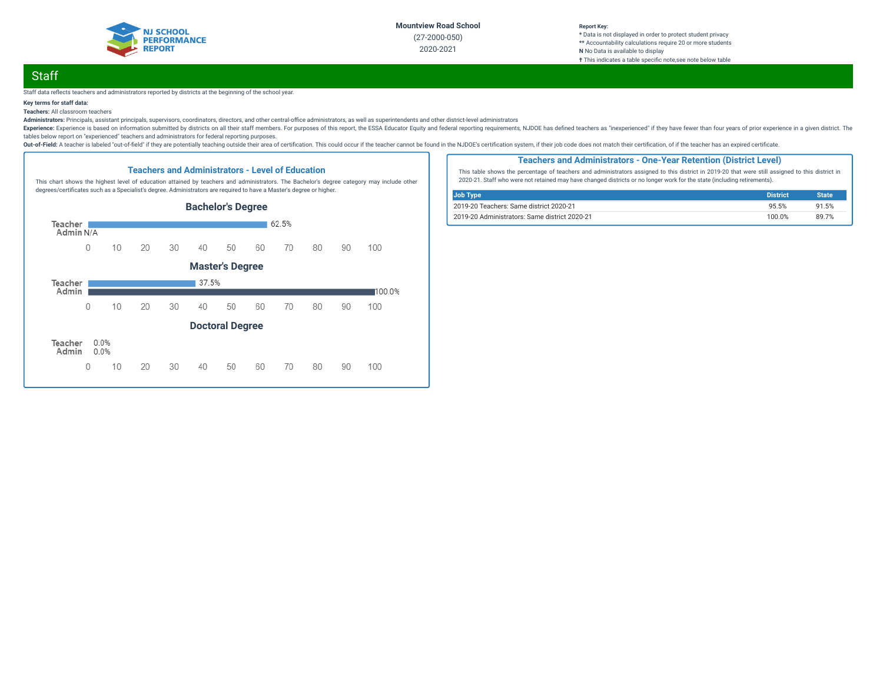

#### **Report Key: \*** Data is not displayed in order to protect student privacy **\*\*** Accountability calculations require 20 or more students **N** No Data is available to display **†** This indicates a table specic note,see note below table

# **Staff**

#### Staff data reflects teachers and administrators reported by districts at the beginning of the school year.

### **Key terms for staff data:**

### **Teachers:** All classroom teachers

Administrators: Principals, assistant principals, supervisors, coordinators, directors, and other central-office administrators, as well as superintendents and other district-level administrators

Experience: Experience is based on information submitted by districts on all their staff members. For purposes of this report, the ESSA Educator Equity and federal reporting requirements, NJDOE has defined teachers as "ine tables below report on "experienced" teachers and administrators for federal reporting purposes.

Out-of-Field: A teacher is labeled "out-of-field" if they are potentially teaching outside their area of certification. This could occur if the teacher cannot be found in the NJDOE's certification system, if their job code



**Teachers and Administrators - Level of Education**

### **Teachers and Administrators - One-Year Retention (District Level)**

This table shows the percentage of teachers and administrators assigned to this district in 2019-20 that were still assigned to this district in 2020-21. Staff who were not retained may have changed districts or no longer work for the state (including retirements).

| <b>Job Type</b>                               | <b>District</b> | <b>State</b> |
|-----------------------------------------------|-----------------|--------------|
| 2019-20 Teachers: Same district 2020-21       | 95.5%           | 91.5%        |
| 2019-20 Administrators: Same district 2020-21 | 100.0%          | 89 7%        |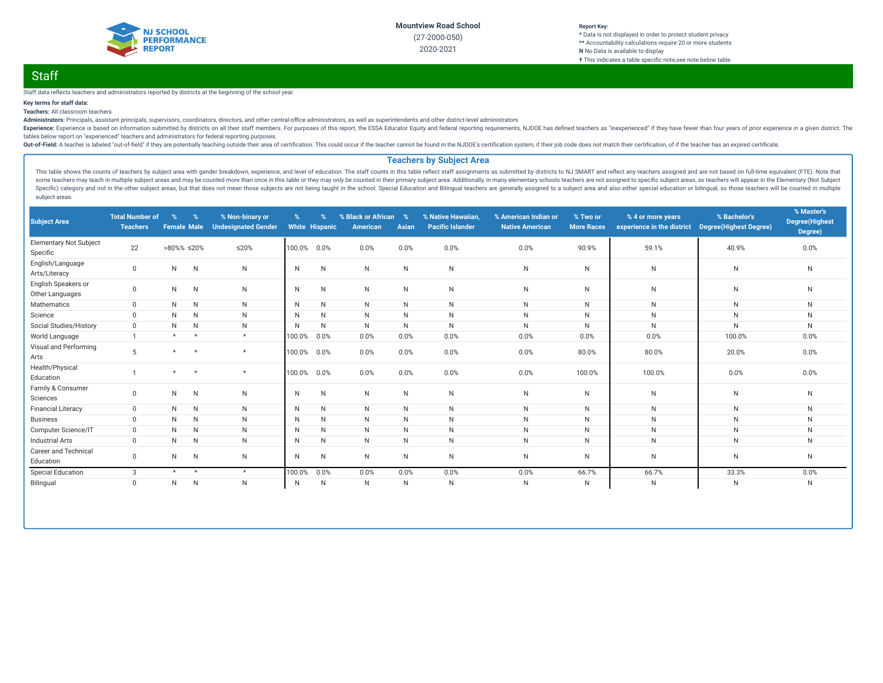

#### **Report Key: \*** Data is not displayed in order to protect student privacy **\*\*** Accountability calculations require 20 or more students **N** No Data is available to display **†** This indicates a table specific note, see note below table

# **Staff**

### Staff data reflects teachers and administrators reported by districts at the beginning of the school year.

### **Key terms for staff data:**

### **Teachers:** All classroom teachers

Administrators: Principals, assistant principals, supervisors, coordinators, directors, and other central-office administrators, as well as superintendents and other district-level administrators

Experience: Experience is based on information submitted by districts on all their staff members. For purposes of this report, the ESSA Educator Equity and federal reporting requirements, NJDOE has defined teachers as "ine tables below report on "experienced" teachers and administrators for federal reporting purposes.

Out-of-Field: A teacher is labeled "out-of-field" if they are potentially teaching outside their area of certification. This could occur if the teacher cannot be found in the NJDOE's certification system, if their job code

### **Teachers by Subject Area**

This table shows the counts of teachers by subject area with gender breakdown, experience, and level of education. The staff counts in this table reflect staff assignments as submitted by districts to NJ SMART and reflect some teachers may teach in multiple subject areas and may be counted more than once in this table or they may only be counted in their primary subject area. Additionally, in many elementary schools teachers are not assigne Specific) category and not in the other subject areas, but that does not mean those subjects are not being taught in the school. Special Education and Bilingual teachers are generally assigned to a subject area and also ei subject areas.

| <b>Subject Area</b>                       | <b>Total Number of</b><br><b>Teachers</b> | $\%$<br><b>Female Male</b> | $\%$         | % Non-binary or<br><b>Undesignated Gender</b> | $\%$         | <b>White Hispanic</b> | % Black or African<br>American | $\%$<br>Asian | % Native Hawaiian,<br><b>Pacific Islander</b> | % American Indian or<br><b>Native American</b> | % Two or<br><b>More Races</b> | % 4 or more years<br>experience in the district | % Bachelor's<br><b>Degree</b> (Highest Degree) | % Master's<br><b>Degree</b> (Highest<br>Degree) |
|-------------------------------------------|-------------------------------------------|----------------------------|--------------|-----------------------------------------------|--------------|-----------------------|--------------------------------|---------------|-----------------------------------------------|------------------------------------------------|-------------------------------|-------------------------------------------------|------------------------------------------------|-------------------------------------------------|
| <b>Elementary Not Subject</b><br>Specific | 22                                        | $>80\%$ % $\leq 20\%$      |              | $\leq$ 20%                                    | 100.0%       | 0.0%                  | 0.0%                           | 0.0%          | 0.0%                                          | 0.0%                                           | 90.9%                         | 59.1%                                           | 40.9%                                          | 0.0%                                            |
| English/Language<br>Arts/Literacy         | $\mathbf 0$                               | N                          | $\mathsf{N}$ | N                                             | N            | N                     | N.                             | $\mathsf{N}$  | $\mathsf{N}$                                  | $\mathsf{N}$                                   | $\mathsf{N}$                  | N                                               | N                                              | N                                               |
| English Speakers or<br>Other Languages    | $\mathbf{0}$                              | $\mathsf{N}$               | $\mathsf{N}$ | $\mathsf{N}$                                  | N            | N                     | N                              | N             | ${\sf N}$                                     | N                                              | N                             | N                                               | $\mathsf{N}$                                   | ${\sf N}$                                       |
| Mathematics                               | $\mathbf{0}$                              | N                          | $\mathsf{N}$ | N                                             | $\mathsf{N}$ | N                     | N                              | N             | ${\sf N}$                                     | N                                              | N                             | N                                               | $\mathsf{N}$                                   | N                                               |
| Science                                   | $\mathbf 0$                               | N                          | $\mathsf{N}$ | N                                             | N            | N                     | N                              | N             | N                                             | $\mathsf{N}$                                   | N                             | N                                               | N                                              | $\mathsf{N}$                                    |
| Social Studies/History                    | $\mathbf 0$                               | N                          | N            | N                                             | N            | N                     | N                              | $\mathsf{N}$  | $\mathsf{N}$                                  | $\mathsf{N}$                                   | $\mathsf{N}$                  | N                                               | N                                              | $\mathsf{N}$                                    |
| World Language                            |                                           | $\star$                    | $\star$      | $\star$                                       | 100.0%       | 0.0%                  | 0.0%                           | 0.0%          | 0.0%                                          | 0.0%                                           | 0.0%                          | 0.0%                                            | 100.0%                                         | 0.0%                                            |
| Visual and Performing<br>Arts             | 5                                         | $\star$                    | $\star$      | $\star$                                       | 100.0%       | 0.0%                  | 0.0%                           | 0.0%          | 0.0%                                          | 0.0%                                           | 80.0%                         | 80.0%                                           | 20.0%                                          | 0.0%                                            |
| Health/Physical<br>Education              |                                           | $\star$                    | $\star$      | $\star$                                       | 100.0%       | 0.0%                  | 0.0%                           | 0.0%          | 0.0%                                          | 0.0%                                           | 100.0%                        | 100.0%                                          | 0.0%                                           | 0.0%                                            |
| Family & Consumer<br>Sciences             | $\Omega$                                  | $\mathsf{N}$               | $\mathsf{N}$ | N                                             | N            | N                     | N                              | $\mathsf{N}$  | ${\sf N}$                                     | N                                              | N                             | N                                               | N                                              | ${\sf N}$                                       |
| <b>Financial Literacy</b>                 | $\mathbf{0}$                              | N                          | $\mathsf{N}$ | N                                             | N            | N                     | N.                             | N             | ${\sf N}$                                     | N                                              | N                             | N                                               | $\mathsf{N}$                                   | N                                               |
| <b>Business</b>                           | $\mathbf 0$                               | N                          | $\mathsf{N}$ | N                                             | N            | N                     | N                              | N             | $\mathsf{N}$                                  | $\mathsf{N}$                                   | N                             | N                                               | $\mathsf{N}$                                   | N                                               |
| Computer Science/IT                       | $\mathbf{0}$                              | N                          | $\mathsf{N}$ | N                                             | N            | N                     | N.                             | N             | N                                             | $\mathsf{N}$                                   | N                             | N                                               | $\mathsf{N}$                                   | $\mathsf{N}$                                    |
| <b>Industrial Arts</b>                    | $\mathbf{0}$                              | N                          | N            | N                                             | N            | N                     | N.                             | N             | N                                             | $\mathsf{N}$                                   | $\mathsf{N}$                  | N                                               | $\mathsf{N}$                                   | N                                               |
| Career and Technical<br>Education         | $\mathbf 0$                               | N                          | N            | N                                             | N            | N                     | N                              | $\mathsf{N}$  | ${\sf N}$                                     | $\mathsf{N}$                                   | N                             | N                                               | $\mathsf{N}$                                   | $\mathsf{N}$                                    |
| <b>Special Education</b>                  | 3                                         | $\star$                    | $\star$      | $\star$                                       | 100.0%       | 0.0%                  | 0.0%                           | 0.0%          | 0.0%                                          | 0.0%                                           | 66.7%                         | 66.7%                                           | 33.3%                                          | 0.0%                                            |
| Bilingual                                 | $\mathbf 0$                               | N                          | $\mathsf{N}$ | $\mathsf{N}$                                  | $\mathsf{N}$ | N                     | N                              | $\mathsf{N}$  | ${\sf N}$                                     | $\mathsf{N}$                                   | $\mathsf{N}$                  | N                                               | $\mathsf{N}$                                   | N                                               |
|                                           |                                           |                            |              |                                               |              |                       |                                |               |                                               |                                                |                               |                                                 |                                                |                                                 |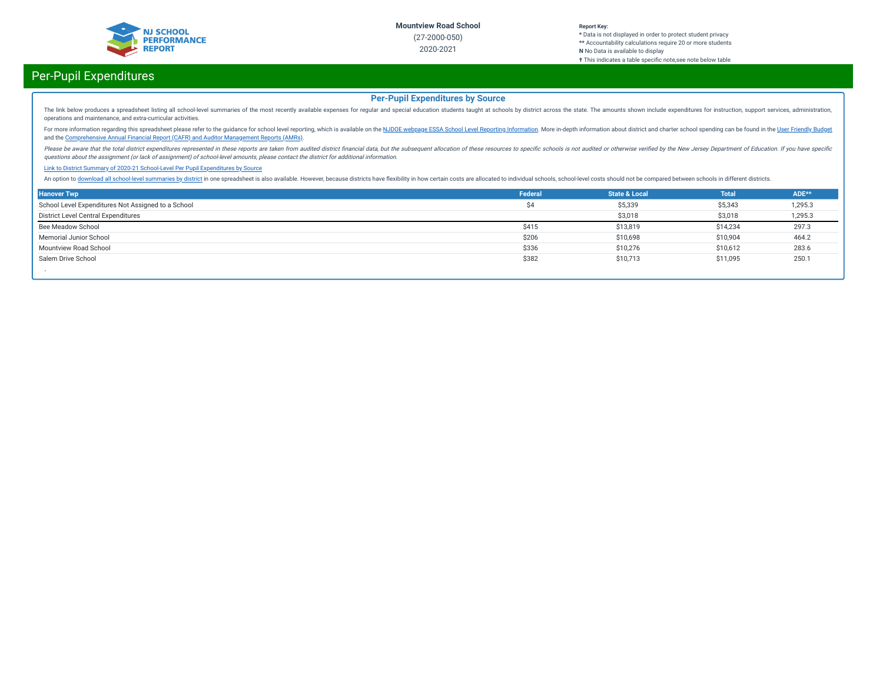

#### **Report Key: \*** Data is not displayed in order to protect student privacy **\*\*** Accountability calculations require 20 or more students **N** No Data is available to display **†** This indicates a table specific note, see note below table

# Per-Pupil Expenditures

## **Per-Pupil Expenditures by Source**

The link below produces a spreadsheet listing all school-level summaries of the most recently available expenses for regular and special education students taught at schools by district across the state. The amounts shown operations and maintenance, and extra-curricular activities.

For more information regarding this spreadsheet please refer to the guidance for school level reporting, which is available on the NJDOE webpage ESSA School Level Reporting [Information](https://www.nj.gov/education/finance/fp/af/essa.shtml). More in-depth information about dist and the [Comprehensive](https://www.nj.gov/education/finance/fp/cafr/search/) Annual Financial Report (CAFR) and Auditor Management Reports (AMRs).

Please be aware that the total district expenditures represented in these reports are taken from audited district financial data, but the subsequent allocation of these resources to specific schools is not audited or other questions about the assignment (or lack of assignment) of school-level amounts, please contact the district for additional information.

#### Link to District Summary of [2020-21 School-Level](https://homeroom4.doe.state.nj.us/audsum/PpeReport?&did=2000&fileformat=html&reportname=PERFORMREPORT&fy=21) Per Pupil Expenditures by Source

An option to download all [school-level](https://homeroom4.doe.state.nj.us/audsum/PpeReport?&did=9999&fileformat=html&reportname=PERFORMREPORT&fy=21) summaries by district in one spreadsheet is also available. However, because districts have flexibility in how certain costs are allocated to individual schools, school-level costs sh

| <b>Hanover Twp</b>                                 | Federal | <b>State &amp; Local</b> | <b>Total</b> | ADE**   |
|----------------------------------------------------|---------|--------------------------|--------------|---------|
| School Level Expenditures Not Assigned to a School | \$4     | \$5,339                  | \$5,343      | 1,295.3 |
| District Level Central Expenditures                |         | \$3,018                  | \$3,018      | 1,295.3 |
| Bee Meadow School                                  | \$415   | \$13,819                 | \$14,234     | 297.3   |
| Memorial Junior School                             | \$206   | \$10,698                 | \$10,904     | 464.2   |
| Mountview Road School                              | \$336   | \$10,276                 | \$10,612     | 283.6   |
| Salem Drive School                                 | \$382   | \$10,713                 | \$11,095     | 250.1   |
|                                                    |         |                          |              |         |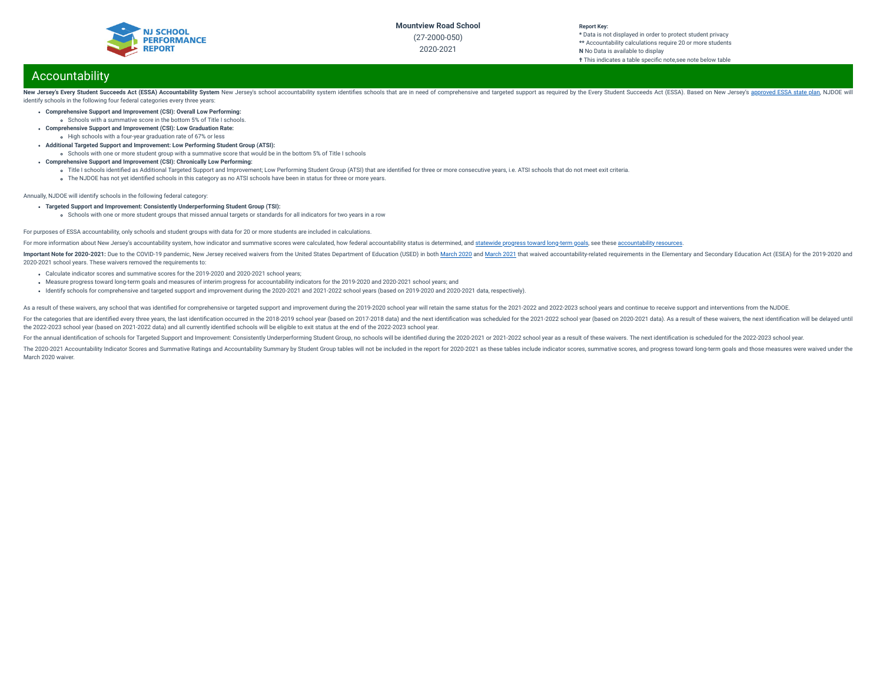

# **Report Key:**

**\*** Data is not displayed in order to protect student privacy **\*\*** Accountability calculations require 20 or more students **N** No Data is available to display **†** This indicates a table specific note, see note below table

# Accountability

New Jersey's Every Student Succeeds Act (ESSA) Accountability System New Jersey's school accountability system identifies schools that are in need of comprehensive and targeted support as required by the Every Student Succ identify schools in the following four federal categories every three years:

- **Comprehensive Support and Improvement (CSI): Overall Low Performing:**
	- Schools with a summative score in the bottom 5% of Title I schools.
- **Comprehensive Support and Improvement (CSI): Low Graduation Rate:** High schools with a four-year graduation rate of 67% or less
- **Additional Targeted Support and Improvement: Low Performing Student Group (ATSI):**
- Schools with one or more student group with a summative score that would be in the bottom 5% of Title I schools
- **Comprehensive Support and Improvement (CSI): Chronically Low Performing:**
	- o Title I schools identified as Additional Targeted Support and Improvement; Low Performing Student Group (ATSI) that are identified for three or more consecutive years, i.e. ATSI schools that do not meet exit criteria.
	- The NJDOE has not yet identified schools in this category as no ATSI schools have been in status for three or more years.

Annually, NJDOE will identify schools in the following federal category:

- **Targeted Support and Improvement: Consistently Underperforming Student Group (TSI):**
	- Schools with one or more student groups that missed annual targets or standards for all indicators for two years in a row

#### For purposes of ESSA accountability, only schools and student groups with data for 20 or more students are included in calculations.

For more information about New Jersey's accountability system, how indicator and summative scores were calculated, how federal accountability status is determined, and [statewide](https://www.state.nj.us/education/title1/accountability/progress/19/2018-19%20Statewide%20Progress%20toward%20Long-Term%20Goals.pdf) progress toward long-term goals, see these a

Important Note for 2020-2021: Due to the COVID-19 pandemic, New Jersey received waivers from the United States Department of Education (USED) in both [March](https://oese.ed.gov/files/2021/03/nj-acct-waiver-response-1.pdf) 2020 and March 2021 that waived accountability-related requirement 2020-2021 school years. These waivers removed the requirements to:

- Calculate indicator scores and summative scores for the 2019-2020 and 2020-2021 school years;
- Measure progress toward long-term goals and measures of interim progress for accountability indicators for the 2019-2020 and 2020-2021 school years; and
- Identify schools for comprehensive and targeted support and improvement during the 2020-2021 and 2021-2022 school years (based on 2019-2020 and 2020-2021 data, respectively).

As a result of these waivers, any school that was identified for comprehensive or targeted support and improvement during the 2019-2020 school year will retain the same status for the 2021-2022 and 2022-2023 school years a

For the categories that are identified every three vears, the last identification occurred in the 2018-2019 school year (based on 2017-2018 data) and the next identification was scheduled for the 2021-2022 school year (bas the 2022-2023 school year (based on 2021-2022 data) and all currently identied schools will be eligible to exit status at the end of the 2022-2023 school year.

For the annual identification of schools for Targeted Support and Improvement: Consistently Underperforming Student Group, no schools will be identified during the 2020-2021 or 2021-2022 school year as a result of these wa

The 2020-2021 Accountability Indicator Scores and Summative Ratings and Accountability Summary by Student Group tables will not be included in the report for 2020-2021 as these tables include indicator scores, summative sc March 2020 waiver.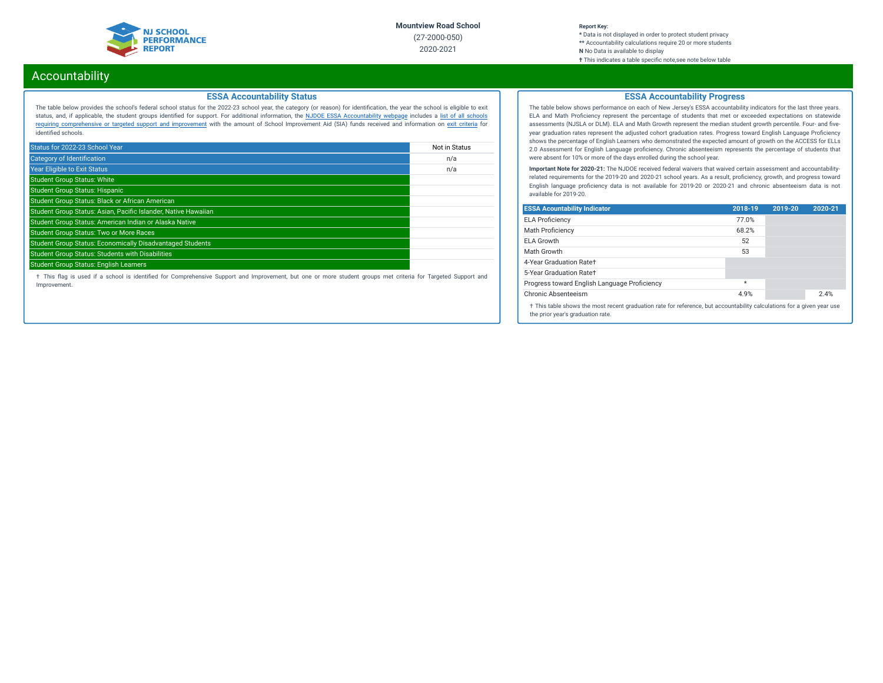

#### **Report Key: \*** Data is not displayed in order to protect student privacy **\*\*** Accountability calculations require 20 or more students **N** No Data is available to display **†** This indicates a table specic note,see note below table

# Accountability

### **ESSA Accountability Status**

The table below provides the school's federal school status for the 2022-23 school year, the category (or reason) for identication, the year the school is eligible to exit status, and, if applicable, the student groups identied for support. For additional information, the NJDOE ESSA [Accountability](https://www.state.nj.us/education/title1/accountability/progress/20/) webpage includes a list of all schools requiring [comprehensive](https://www.state.nj.us/education/title1/accountability/progress/19/CAP%20Comprehensive_Targeted_Schools.xlsx) or targeted support and improvement with the amount of School Improvement Aid (SIA) funds received and information on exit [criteria](https://www.state.nj.us/education/title1/accountability/progress/20/ESSAExitCriteriaDocument.pdf) for identified schools.

| Status for 2022-23 School Year                                   | Not in Status |
|------------------------------------------------------------------|---------------|
| <b>Category of Identification</b>                                | n/a           |
| <b>Year Eligible to Exit Status</b>                              | n/a           |
| <b>Student Group Status: White</b>                               |               |
| <b>Student Group Status: Hispanic</b>                            |               |
| Student Group Status: Black or African American                  |               |
| Student Group Status: Asian, Pacific Islander, Native Hawaiian   |               |
| Student Group Status: American Indian or Alaska Native           |               |
| <b>Student Group Status: Two or More Races</b>                   |               |
| <b>Student Group Status: Economically Disadvantaged Students</b> |               |
| <b>Student Group Status: Students with Disabilities</b>          |               |
| <b>Student Group Status: English Learners</b>                    |               |

† This ag is used if a school is identied for Comprehensive Support and Improvement, but one or more student groups met criteria for Targeted Support and Improvement.

## **ESSA Accountability Progress**

The table below shows performance on each of New Jersey's ESSA accountability indicators for the last three years. ELA and Math Proficiency represent the percentage of students that met or exceeded expectations on statewide assessments (NJSLA or DLM). ELA and Math Growth represent the median student growth percentile. Four- and fiveyear graduation rates represent the adjusted cohort graduation rates. Progress toward English Language Proficiency shows the percentage of English Learners who demonstrated the expected amount of growth on the ACCESS for ELLs 2.0 Assessment for English Language proficiency. Chronic absenteeism represents the percentage of students that were absent for 10% or more of the days enrolled during the school year.

**Important Note for 2020-21:** The NJDOE received federal waivers that waived certain assessment and accountabilityrelated requirements for the 2019-20 and 2020-21 school years. As a result, proficiency, growth, and progress toward English language proficiency data is not available for 2019-20 or 2020-21 and chronic absenteeism data is not available for 2019-20.

| <b>ESSA Acountability Indicator</b>                                                                                                                         | 2018-19 | 2019-20 | 2020-21 |
|-------------------------------------------------------------------------------------------------------------------------------------------------------------|---------|---------|---------|
| <b>ELA Proficiency</b>                                                                                                                                      | 77.0%   |         |         |
| Math Proficiency                                                                                                                                            | 68.2%   |         |         |
| <b>ELA Growth</b>                                                                                                                                           | 52      |         |         |
| Math Growth                                                                                                                                                 | 53      |         |         |
| 4-Year Graduation Rate+                                                                                                                                     |         |         |         |
| 5-Year Graduation Rate+                                                                                                                                     |         |         |         |
| Progress toward English Language Proficiency                                                                                                                | $\star$ |         |         |
| Chronic Absenteeism                                                                                                                                         | 4.9%    |         | 2.4%    |
| † This table shows the most recent graduation rate for reference, but accountability calculations for a given year use<br>the prior year's graduation rate. |         |         |         |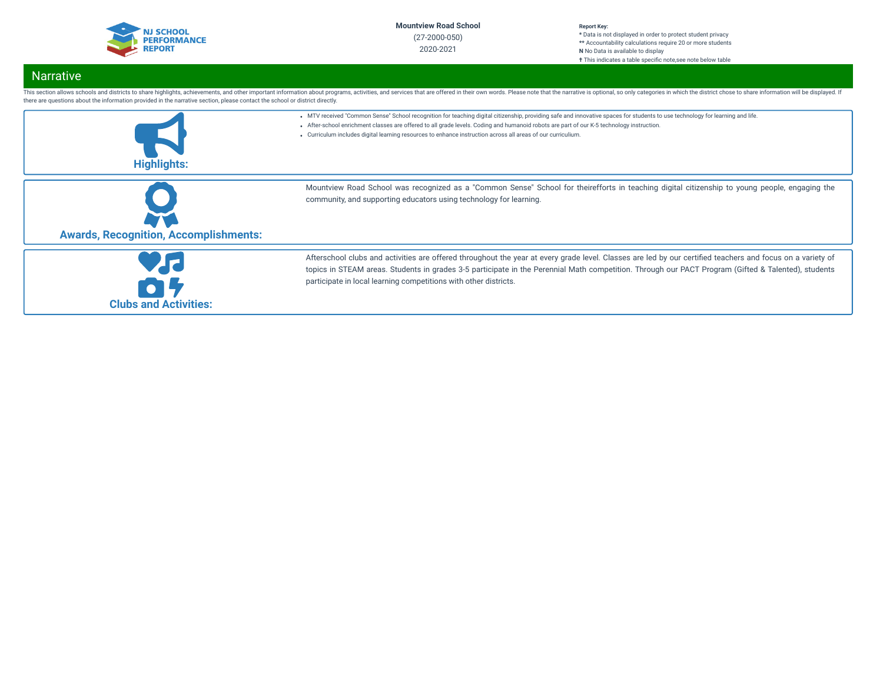

#### **Report Key: \*** Data is not displayed in order to protect student privacy **\*\*** Accountability calculations require 20 or more students **N** No Data is available to display **†** This indicates a table specic note,see note below table

# Narrative

| there are questions about the information provided in the narrative section, please contact the school or district directly. | This section allows schools and districts to share highlights, achievements, and other important information about programs, activities, and services that are offered in their own words. Please note that the narrative is o                                                                                                                                                                                                             |
|------------------------------------------------------------------------------------------------------------------------------|--------------------------------------------------------------------------------------------------------------------------------------------------------------------------------------------------------------------------------------------------------------------------------------------------------------------------------------------------------------------------------------------------------------------------------------------|
| <b>Highlights:</b>                                                                                                           | . MTV received "Common Sense" School recognition for teaching digital citizenship, providing safe and innovative spaces for students to use technology for learning and life.<br>- After-school enrichment classes are offered to all grade levels. Coding and humanoid robots are part of our K-5 technology instruction.<br>• Curriculum includes digital learning resources to enhance instruction across all areas of our curriculium. |
| <b>Awards, Recognition, Accomplishments:</b>                                                                                 | Mountview Road School was recognized as a "Common Sense" School for theirefforts in teaching digital citizenship to young people, engaging the<br>community, and supporting educators using technology for learning.                                                                                                                                                                                                                       |
| <b>Clubs and Activities:</b>                                                                                                 | Afterschool clubs and activities are offered throughout the year at every grade level. Classes are led by our certified teachers and focus on a variety of<br>topics in STEAM areas. Students in grades 3-5 participate in the Perennial Math competition. Through our PACT Program (Gifted & Talented), students<br>participate in local learning competitions with other districts.                                                      |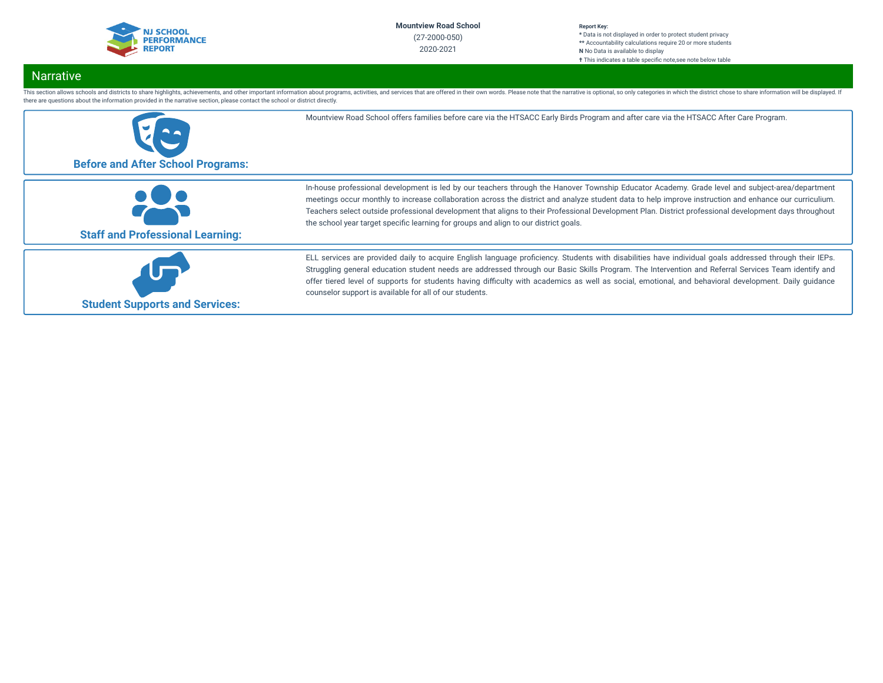

#### **Report Key: \*** Data is not displayed in order to protect student privacy **\*\*** Accountability calculations require 20 or more students **N** No Data is available to display **†** This indicates a table specific note, see note below table

# Narrative

This section allows schools and districts to share highlights, achievements, and other important information about programs, activities, and services that are offered in their own words. Please note that the narrative is o there are questions about the information provided in the narrative section, please contact the school or district directly.

| <b>Before and After School Programs:</b> | Mountview Road School offers families before care via the HTSACC Early Birds Program and after care via the HTSACC After Care Program.                                                                                                                                                                                                                                                                                                                                                                                                                      |
|------------------------------------------|-------------------------------------------------------------------------------------------------------------------------------------------------------------------------------------------------------------------------------------------------------------------------------------------------------------------------------------------------------------------------------------------------------------------------------------------------------------------------------------------------------------------------------------------------------------|
| <b>Staff and Professional Learning:</b>  | In-house professional development is led by our teachers through the Hanover Township Educator Academy. Grade level and subject-area/department<br>meetings occur monthly to increase collaboration across the district and analyze student data to help improve instruction and enhance our curriculium.<br>Teachers select outside professional development that aligns to their Professional Development Plan. District professional development days throughout<br>the school year target specific learning for groups and align to our district goals. |
| <b>Student Supports and Services:</b>    | ELL services are provided daily to acquire English language proficiency. Students with disabilities have individual goals addressed through their IEPs.<br>Struggling general education student needs are addressed through our Basic Skills Program. The Intervention and Referral Services Team identify and<br>offer tiered level of supports for students having difficulty with academics as well as social, emotional, and behavioral development. Daily guidance<br>counselor support is available for all of our students.                          |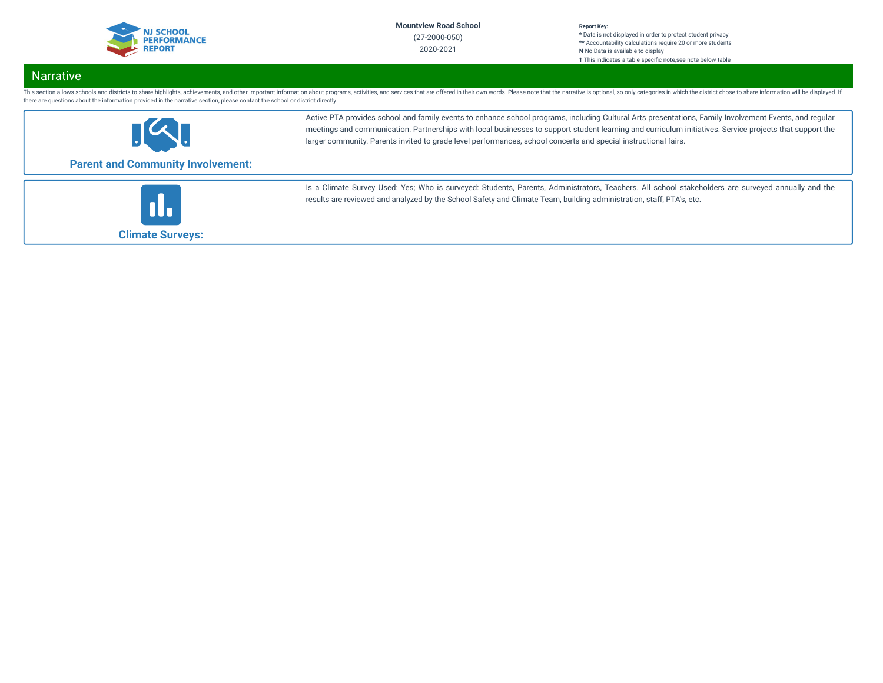

#### **Report Key: \*** Data is not displayed in order to protect student privacy **\*\*** Accountability calculations require 20 or more students **N** No Data is available to display **†** This indicates a table specific note, see note below table

# Narrative

This section allows schools and districts to share highlights, achievements, and other important information about programs, activities, and services that are offered in their own words. Please note that the narrative is o there are questions about the information provided in the narrative section, please contact the school or district directly.



Active PTA provides school and family events to enhance school programs, including Cultural Arts presentations, Family Involvement Events, and regular meetings and communication. Partnerships with local businesses to support student learning and curriculum initiatives. Service projects that support the larger community. Parents invited to grade level performances, school concerts and special instructional fairs.

# **Parent and Community Involvement:**



Is a Climate Survey Used: Yes; Who is surveyed: Students, Parents, Administrators, Teachers. All school stakeholders are surveyed annually and the results are reviewed and analyzed by the School Safety and Climate Team, building administration, staff, PTA's, etc.